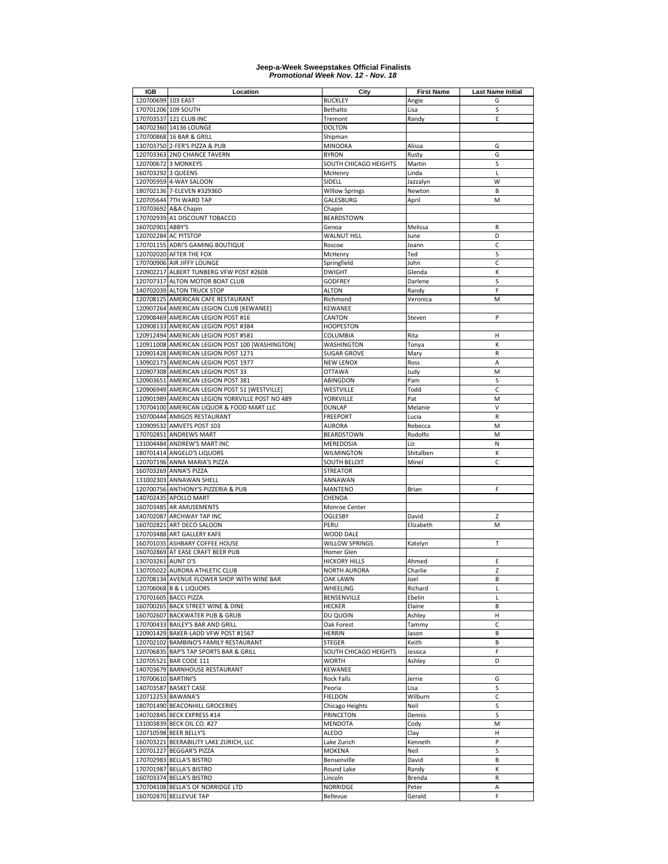| IGB                 | Location                                                   | City                               | <b>First Name</b> | <b>Last Name Initial</b> |
|---------------------|------------------------------------------------------------|------------------------------------|-------------------|--------------------------|
| 120700699 103 EAST  |                                                            | <b>BUCKLEY</b>                     | Angie             | G                        |
|                     | 170701206 109 SOUTH                                        | Bethalto                           | Lisa              | S                        |
|                     | 170703537 121 CLUB INC                                     | Tremont                            | Randy             | Ε                        |
|                     | 140702360 14136 LOUNGE                                     | <b>DOLTON</b>                      |                   |                          |
|                     | 170700868 16 BAR & GRILL                                   | Shipman                            |                   |                          |
|                     | 130703750 2-FER'S PIZZA & PUB                              | <b>MINOOKA</b>                     | Alissa            | G                        |
|                     | 120703363 2ND CHANCE TAVERN                                | <b>BYRON</b>                       | Rusty             | G                        |
|                     | 120700672 3 MONKEYS                                        | SOUTH CHICAGO HEIGHTS              | Martin            | S                        |
| 160703292 3 QUEENS  |                                                            | McHenry                            | Linda             | L                        |
|                     | 120705959 4-WAY SALOON                                     | SIDELL                             | Jazzalyn          | W                        |
|                     | 180702136 7-ELEVEN #32936D                                 | <b>WIllow Springs</b>              | Newton            | B                        |
|                     | 120705644 7TH WARD TAP                                     | GALESBURG                          | April             | M                        |
|                     | 170703692 A&A Chapin                                       | Chapin                             |                   |                          |
|                     | 170702939 A1 DISCOUNT TOBACCO                              | <b>BEARDSTOWN</b>                  |                   |                          |
| 160702901 ABBY'S    |                                                            | Genoa                              | Melissa           | R                        |
|                     | 120702284 AC PITSTOP                                       | <b>WALNUT HILL</b>                 | June              | D                        |
|                     | 170701155 ADRI'S GAMING BOUTIQUE                           | Roscoe                             | Joann             | C                        |
|                     | 120702020 AFTER THE FOX                                    | McHenry                            | Ted               | S                        |
|                     | 170700906 AIR JIFFY LOUNGE                                 | Springfield                        | John              | C                        |
|                     | 120902217 ALBERT TUNBERG VFW POST #2608                    | <b>DWIGHT</b>                      | Glenda            | К                        |
|                     | 120707317 ALTON MOTOR BOAT CLUB                            | <b>GODFREY</b>                     | Darlene           | S                        |
|                     | 140702039 ALTON TRUCK STOP                                 | <b>ALTON</b>                       | Randy             | F                        |
|                     | 120708125 AMERICAN CAFE RESTAURANT                         | Richmond                           | Veronica          | M                        |
|                     | 120907264 AMERICAN LEGION CLUB [KEWANEE]                   | <b>KEWANEE</b>                     |                   |                          |
|                     | 120908469 AMERICAN LEGION POST #16                         | CANTON                             | Steven            | P                        |
|                     | 120908133 AMERICAN LEGION POST #384                        | <b>HOOPESTON</b>                   |                   |                          |
|                     | 120912494 AMERICAN LEGION POST #581                        | COLUMBIA                           | Rita              | н                        |
|                     | 120911008 AMERICAN LEGION POST 100 [WASHINGTON]            | <b>WASHINGTON</b>                  | Tonya             | К                        |
|                     | 120901428 AMERICAN LEGION POST 1271                        | <b>SUGAR GROVE</b>                 | Mary              | ${\sf R}$                |
|                     | 130902173 AMERICAN LEGION POST 1977                        | <b>NEW LENOX</b>                   | Ross              | Α                        |
|                     | 120907308 AMERICAN LEGION POST 33                          | <b>OTTAWA</b>                      | Judy              | M                        |
|                     | 120903651 AMERICAN LEGION POST 381                         | ABINGDON                           | Pam               | S                        |
|                     | 120906949 AMERICAN LEGION POST 51 [WESTVILLE]              | WESTVILLE                          | Todd              | $\mathsf{C}$             |
|                     | 120901989 AMERICAN LEGION YORKVILLE POST NO 489            | YORKVILLE                          | Pat               | M                        |
|                     | 170704100 AMERICAN LIQUOR & FOOD MART LLC                  | <b>DUNLAP</b>                      | Melanie           | V                        |
|                     | 150700444 AMIGOS RESTAURANT                                | <b>FREEPORT</b>                    | Lucia             | ${\sf R}$                |
|                     | 120909532 AMVETS POST 103                                  | <b>AURORA</b>                      | Rebecca           | M                        |
|                     | 170702851 ANDREWS MART                                     | <b>BEARDSTOWN</b>                  | Rodolfo           | M                        |
|                     | 131004484 ANDREW'S MART INC                                | MEREDOSIA                          | Liz               | N                        |
|                     | 180701414 ANGELO'S LIQUORS                                 | <b>WILMINGTON</b>                  | Shitalben         | К                        |
|                     | 120707196 ANNA MARIA'S PIZZA                               | <b>SOUTH BELOIT</b>                | Minel             | C                        |
|                     | 160703269 ANNA'S PIZZA                                     | <b>STREATOR</b>                    |                   |                          |
|                     | 131002303 ANNAWAN SHELL                                    | ANNAWAN                            |                   |                          |
|                     | 120700756 ANTHONY'S PIZZERIA & PUB                         | <b>MANTENO</b>                     | Brian             | F                        |
|                     | 140702435 APOLLO MART                                      | CHENOA                             |                   |                          |
|                     | 160703485 AR AMUSEMENTS                                    | Monroe Center                      |                   |                          |
|                     | 140702087 ARCHWAY TAP INC                                  | <b>OGLESBY</b>                     | David             | Z                        |
|                     | 160702821 ART DECO SALOON                                  | PERU                               | Elizabeth         | M                        |
|                     | 170703488 ART GALLERY KAFE                                 | WOOD DALE                          |                   |                          |
|                     | 160701035 ASHBARY COFFEE HOUSE                             | <b>WILLOW SPRINGS</b>              | Katelyn           | T                        |
|                     | 160702869 AT EASE CRAFT BEER PUB                           | Homer Glen                         |                   |                          |
| 130703261 AUNT D'S  |                                                            | <b>HICKORY HILLS</b>               | Ahmed             | Ε                        |
|                     | 130705022 AURORA ATHLETIC CLUB                             | <b>NORTH AURORA</b>                | Charlie           | Z                        |
|                     | 120708134 AVENUE FLOWER SHOP WITH WINE BAR                 | <b>OAK LAWN</b><br><b>WHEELING</b> | Joel              | В                        |
|                     | 120706068 B & L LIQUORS                                    | BENSENVILLE                        | Richard<br>Ebelin | L                        |
|                     | 170701605 BACCI PIZZA<br>160700265 BACK STREET WINE & DINE | <b>HECKER</b>                      | Elaine            | L<br>B                   |
|                     | 160702607 BACKWATER PUB & GRUB                             | DU QUOIN                           | Ashley            | Н                        |
|                     | 170700433 BAILEY'S BAR AND GRILL                           | Oak Forest                         | Tammy             | C                        |
|                     | 120901429 BAKER-LADD VFW POST #1567                        | <b>HERRIN</b>                      | Jason             | B                        |
|                     | 120702102 BAMBINO'S FAMILY RESTAURANT                      | <b>STEGER</b>                      | Keith             | В                        |
|                     | 120706835 BAP'S TAP SPORTS BAR & GRILL                     | SOUTH CHICAGO HEIGHTS              | Jessica           | F                        |
|                     | 120705521 BAR CODE 111                                     | <b>WORTH</b>                       | Ashley            | D                        |
|                     | 140703679 BARNHOUSE RESTAURANT                             | <b>KEWANEE</b>                     |                   |                          |
| 170700610 BARTINI'S |                                                            | <b>Rock Falls</b>                  | Jerrie            | G                        |
|                     | 140703587 BASKET CASE                                      | Peoria                             | Lisa              | S                        |
| 120712253 BAWANA'S  |                                                            | <b>FIELDON</b>                     | Wilburn           | С                        |
|                     | 180701490 BEACONHILL GROCERIES                             | Chicago Heights                    | Neil              | S                        |
|                     | 140702845 BECK EXPRESS #14                                 | <b>PRINCETON</b>                   | Dennis            | S                        |
|                     | 131003839 BECK OIL CO. #27                                 | <b>MENDOTA</b>                     | Cody              | M                        |
|                     | 120710598 BEER BELLY'S                                     | ALEDO                              | Clay              | н                        |
|                     | 160703221 BEERABILITY LAKE ZURICH, LLC                     | Lake Zurich                        | Kenneth           | P                        |
|                     |                                                            |                                    |                   |                          |
|                     | 120701227 BEGGAR'S PIZZA                                   | <b>MOKENA</b><br>Bensenville       | Neil<br>David     | S<br>В                   |
|                     | 170702983 BELLA'S BISTRO                                   |                                    |                   | К                        |
|                     | 170701987 BELLA'S BISTRO                                   | Round Lake                         | Randy             |                          |
|                     | 160703374 BELLA'S BISTRO                                   | Lincoln                            | Brenda            | R                        |
|                     | 170704108 BELLA'S OF NORRIDGE LTD                          | NORRIDGE                           | Peter             | Α<br>F                   |
|                     | 160702870 BELLEVUE TAP                                     | Bellevue                           | Gerald            |                          |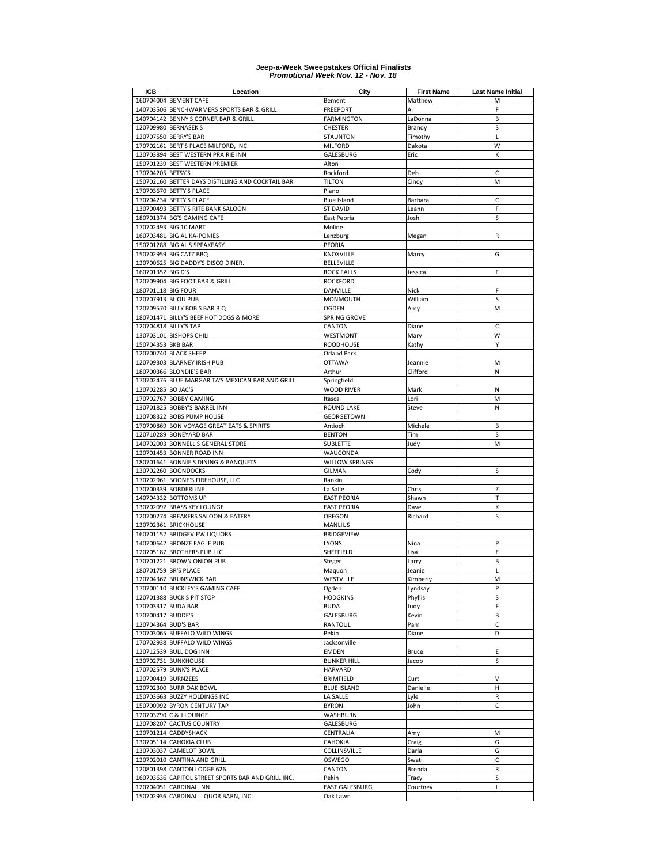| IGB                   | Location                                                                     | City                           | <b>First Name</b> | <b>Last Name Initial</b> |
|-----------------------|------------------------------------------------------------------------------|--------------------------------|-------------------|--------------------------|
|                       | 160704004 BEMENT CAFE                                                        | Bement                         | Matthew           | M                        |
|                       | 140703506 BENCHWARMERS SPORTS BAR & GRILL                                    | <b>FREEPORT</b>                | Al                | F                        |
|                       | 140704142 BENNY'S CORNER BAR & GRILL                                         | FARMINGTON                     | LaDonna           | В                        |
|                       | 120709980 BERNASEK'S                                                         | CHESTER                        | Brandy            | S                        |
|                       | 120707550 BERRY'S BAR                                                        | STAUNTON                       | Timothy           | $\mathsf{L}$             |
|                       | 170702161 BERT'S PLACE MILFORD, INC.                                         | <b>MILFORD</b>                 | Dakota            | W                        |
|                       | 120703894 BEST WESTERN PRAIRIE INN                                           | GALESBURG                      | Eric              | К                        |
|                       | 150701239 BEST WESTERN PREMIER                                               | Alton                          |                   |                          |
| 170704205 BETSY'S     |                                                                              | Rockford                       | Deb               | C                        |
|                       | 150702160 BETTER DAYS DISTILLING AND COCKTAIL BAR                            | <b>TILTON</b>                  | Cindy             | M                        |
|                       | 170703670 BETTY'S PLACE                                                      | Plano                          |                   |                          |
|                       | 170704234 BETTY'S PLACE                                                      | <b>Blue Island</b>             | Barbara           | C                        |
|                       | 130700493 BETTY'S RITE BANK SALOON                                           | <b>ST DAVID</b>                | Leann             | F                        |
|                       | 180701374 BG'S GAMING CAFE                                                   | East Peoria                    | Josh              | S                        |
|                       | 170702493 BIG 10 MART                                                        | Moline                         |                   |                          |
|                       | 160703481 BIG AL KA-PONIES                                                   | Lenzburg                       | Megan             | R                        |
|                       | 150701288 BIG AL'S SPEAKEASY                                                 | PEORIA                         |                   |                          |
|                       | 150702959 BIG CATZ BBQ                                                       | KNOXVILLE                      | Marcy             | G                        |
|                       | 120700625 BIG DADDY'S DISCO DINER.                                           | BELLEVILLE                     |                   |                          |
| 160701352 BIG D'S     |                                                                              | <b>ROCK FALLS</b>              | Jessica           | F                        |
|                       | 120709904 BIG FOOT BAR & GRILL                                               | <b>ROCKFORD</b>                |                   |                          |
| 180701118 BIG FOUR    |                                                                              | DANVILLE                       | Nick              | F                        |
| 120707913 BIJOU PUB   |                                                                              | MONMOUTH                       | William           | s                        |
|                       | 120709570 BILLY BOB'S BAR B Q                                                | OGDEN                          | Amy               | M                        |
|                       | 180701471 BILLY'S BEEF HOT DOGS & MORE                                       | SPRING GROVE                   |                   |                          |
| 120704818 BILLY'S TAP |                                                                              | CANTON                         | Diane             | C                        |
|                       | 130703101 BISHOPS CHILI                                                      | WESTMONT                       | Mary              | W                        |
| 150704353 BKB BAR     |                                                                              | <b>ROODHOUSE</b>               | Kathy             | Y                        |
|                       | 120700740 BLACK SHEEP                                                        | Orland Park                    |                   |                          |
|                       | 120709303 BLARNEY IRISH PUB                                                  | <b>OTTAWA</b>                  | Jeannie           | M                        |
|                       | 180700366 BLONDIE'S BAR                                                      | Arthur                         | Clifford          | N                        |
|                       | 170702476 BLUE MARGARITA'S MEXICAN BAR AND GRILL                             | Springfield                    |                   |                          |
| 120702285 BO JAC'S    |                                                                              | <b>WOOD RIVER</b>              | Mark              | N                        |
|                       | 170702767 BOBBY GAMING                                                       | Itasca                         | Lori              | M                        |
|                       | 130701825 BOBBY'S BARREL INN                                                 | <b>ROUND LAKE</b>              | Steve             | N                        |
|                       | 120708322 BOBS PUMP HOUSE                                                    | <b>GEORGETOWN</b>              |                   |                          |
|                       | 170700869 BON VOYAGE GREAT EATS & SPIRITS                                    | Antioch                        | Michele           | В                        |
|                       | 120710289 BONEYARD BAR                                                       | <b>BENTON</b>                  | Tim               | S                        |
|                       | 140702003 BONNELL'S GENERAL STORE                                            | <b>SUBLETTE</b>                | Judy              | M                        |
|                       | 120701453 BONNER ROAD INN                                                    | WAUCONDA                       |                   |                          |
|                       | 180701641 BONNIE'S DINING & BANQUETS                                         | <b>WILLOW SPRINGS</b>          |                   |                          |
|                       | 130702260 BOONDOCKS                                                          | <b>GILMAN</b>                  | Cody              | S                        |
|                       | 170702961 BOONE'S FIREHOUSE, LLC                                             | Rankin                         |                   |                          |
|                       | 170700339 BORDERLINE                                                         | La Salle                       | Chris             | Z                        |
|                       | 140704332 BOTTOMS UP                                                         | <b>EAST PEORIA</b>             | Shawn             | т                        |
|                       | 130702092 BRASS KEY LOUNGE                                                   | <b>EAST PEORIA</b>             | Dave              | К                        |
|                       | 120700274 BREAKERS SALOON & EATERY                                           | OREGON                         | Richard           | S                        |
|                       | 130702361 BRICKHOUSE                                                         | MANLIUS                        |                   |                          |
|                       | 160701152 BRIDGEVIEW LIQUORS                                                 | <b>BRIDGEVIEW</b>              |                   |                          |
|                       | 140700642 BRONZE EAGLE PUB                                                   | LYONS                          | Nina              | P                        |
|                       | 120705187 BROTHERS PUB LLC                                                   | SHEFFIELD                      | Lisa              | Ε                        |
|                       | 170701221 BROWN ONION PUB                                                    | Steger                         | Larry             | В                        |
| 180701759 BR'S PLACE  |                                                                              | Maquon                         | Jeanie            | Г                        |
|                       | 120704367 BRUNSWICK BAR                                                      | WESTVILLE                      | Kimberly          | М                        |
|                       | 170700110 BUCKLEY'S GAMING CAFE                                              | Ogden                          | Lyndsay           | P                        |
|                       | 120701388 BUCK'S PIT STOP                                                    | <b>HODGKINS</b>                | Phyllis           | S                        |
| 170703317 BUDA BAR    |                                                                              | <b>BUDA</b>                    | Judy              | F                        |
| 170700417 BUDDE'S     |                                                                              | GALESBURG                      | Kevin             | B                        |
| 120704364 BUD'S BAR   |                                                                              | <b>RANTOUL</b>                 | Pam               | C                        |
|                       | 170703065 BUFFALO WILD WINGS                                                 | Pekin                          | Diane             | D                        |
|                       | 170702938 BUFFALO WILD WINGS                                                 | Jacksonville                   |                   |                          |
|                       | 120712539 BULL DOG INN                                                       | <b>EMDEN</b>                   | Bruce             | Ε                        |
|                       | 130702731 BUNKHOUSE                                                          | <b>BUNKER HILL</b>             | Jacob             | S                        |
|                       | 170702579 BUNK'S PLACE                                                       | <b>HARVARD</b>                 |                   |                          |
| 120700419 BURNZEES    |                                                                              | <b>BRIMFIELD</b>               | Curt              | $\vee$                   |
|                       | 120702300 BURR OAK BOWL                                                      | <b>BLUE ISLAND</b>             | Danielle          | н                        |
|                       | 150703663 BUZZY HOLDINGS INC                                                 | LA SALLE                       | Lyle              | R                        |
|                       | 150700992 BYRON CENTURY TAP                                                  | <b>BYRON</b>                   | John              | C                        |
|                       | 120703790 C & J LOUNGE                                                       | WASHBURN                       |                   |                          |
|                       |                                                                              | GALESBURG                      |                   |                          |
|                       | 120708207 CACTUS COUNTRY                                                     |                                |                   |                          |
|                       | 120701214 CADDYSHACK                                                         | CENTRALIA                      | Amy               | M                        |
|                       | 130705114 CAHOKIA CLUB                                                       | CAHOKIA                        | Craig             | G                        |
|                       | 130703037 CAMELOT BOWL                                                       | COLLINSVILLE                   | Darla             | G                        |
|                       | 120702010 CANTINA AND GRILL                                                  | OSWEGO                         | Swati             | С                        |
|                       |                                                                              |                                |                   |                          |
|                       | 120801398 CANTON LODGE 626                                                   | CANTON                         | Brenda            | R                        |
|                       | 160703636 CAPITOL STREET SPORTS BAR AND GRILL INC.<br>120704051 CARDINAL INN | Pekin<br><b>EAST GALESBURG</b> | Tracy<br>Courtney | S<br>Г                   |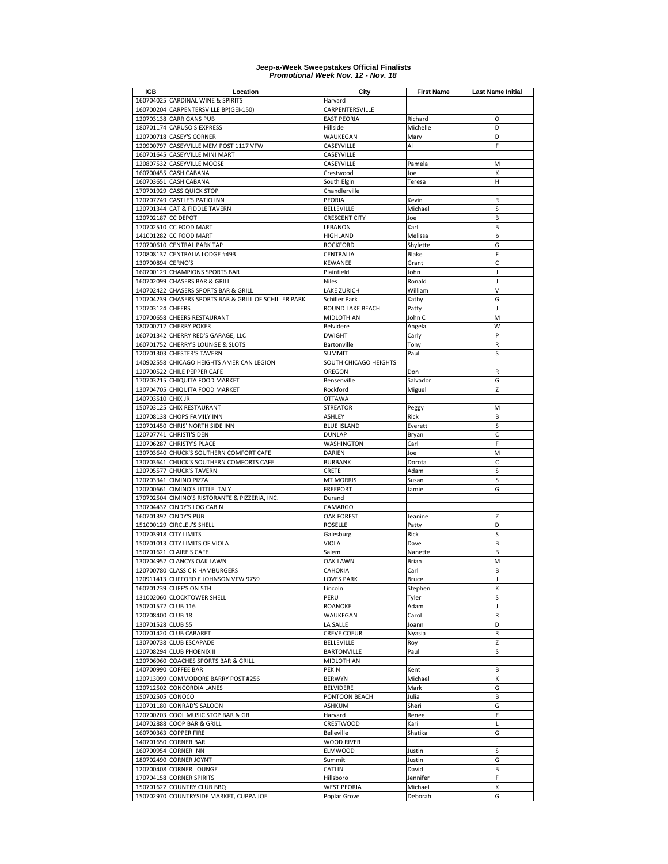| IGB                | Location                                              | City                  | <b>First Name</b> | <b>Last Name Initial</b> |
|--------------------|-------------------------------------------------------|-----------------------|-------------------|--------------------------|
|                    | 160704025 CARDINAL WINE & SPIRITS                     | Harvard               |                   |                          |
|                    | 160700204 CARPENTERSVILLE BP(GEI-150)                 | CARPENTERSVILLE       |                   |                          |
|                    | 120703138 CARRIGANS PUB                               | <b>EAST PEORIA</b>    | Richard           | O                        |
|                    | 180701174 CARUSO'S EXPRESS                            | Hillside              | Michelle          | D                        |
|                    | 120700718 CASEY'S CORNER                              | WAUKEGAN              | Mary              | D                        |
|                    | 120900797 CASEYVILLE MEM POST 1117 VFW                | CASEYVILLE            | Al                | F                        |
|                    | 160701645 CASEYVILLE MINI MART                        | CASEYVILLE            |                   |                          |
|                    | 120807532 CASEYVILLE MOOSE                            | CASEYVILLE            | Pamela            | M                        |
|                    | 160700455 CASH CABANA                                 | Crestwood             | Joe               | K                        |
|                    | 160703651 CASH CABANA                                 | South Elgin           | Teresa            | H                        |
|                    | 170701929 CASS QUICK STOP                             | Chandlerville         |                   |                          |
|                    | 120707749 CASTLE'S PATIO INN                          | PEORIA                | Kevin             | R                        |
|                    | 120701344 CAT & FIDDLE TAVERN                         | <b>BELLEVILLE</b>     | Michael           | S                        |
| 120702187 CC DEPOT |                                                       | <b>CRESCENT CITY</b>  | Joe               | B                        |
|                    | 170702510 CC FOOD MART                                | LEBANON               | Karl              | B                        |
|                    | 141001282 CC FOOD MART                                | HIGHLAND              | Melissa           | b                        |
|                    | 120700610 CENTRAL PARK TAP                            | <b>ROCKFORD</b>       | Shylette          | G                        |
|                    | 120808137 CENTRALIA LODGE #493                        | CENTRALIA             | Blake             | F                        |
| 130700894 CERNO'S  |                                                       | KEWANEE               | Grant             | С                        |
|                    | 160700129 CHAMPIONS SPORTS BAR                        | Plainfield            | John              | J                        |
|                    | 160702099 CHASERS BAR & GRILL                         | <b>Niles</b>          | Ronald            | J                        |
|                    | 140702422 CHASERS SPORTS BAR & GRILL                  | LAKE ZURICH           | William           | V                        |
|                    | 170704239 CHASERS SPORTS BAR & GRILL OF SCHILLER PARK | Schiller Park         | Kathy             | G                        |
| 170703124 CHEERS   |                                                       | ROUND LAKE BEACH      | Patty             | J                        |
|                    | 170700658 CHEERS RESTAURANT                           | MIDLOTHIAN            | John C            | M                        |
|                    | 180700712 CHERRY POKER                                | Belvidere             | Angela            | W                        |
|                    | 160701342 CHERRY RED'S GARAGE, LLC                    | <b>DWIGHT</b>         | Carly             | P                        |
|                    | 160701752 CHERRY'S LOUNGE & SLOTS                     | Bartonville           | Tony              | $\mathsf R$              |
|                    | 120701303 CHESTER'S TAVERN                            | <b>SUMMIT</b>         | Paul              | S                        |
|                    | 140902558 CHICAGO HEIGHTS AMERICAN LEGION             | SOUTH CHICAGO HEIGHTS |                   |                          |
|                    | 120700522 CHILE PEPPER CAFE                           | OREGON                | Don               | $\mathsf R$              |
|                    | 170703215 CHIQUITA FOOD MARKET                        | Bensenville           | Salvador          | G                        |
|                    | 130704705 CHIQUITA FOOD MARKET                        | Rockford              | Miguel            | Z                        |
| 140703510 CHIX JR  |                                                       | <b>OTTAWA</b>         |                   |                          |
| 150703125          | <b>CHIX RESTAURANT</b>                                | <b>STREATOR</b>       | Peggy             | M                        |
|                    | 120708138 CHOPS FAMILY INN                            | ASHLEY                | Rick              | B                        |
|                    | 120701450 CHRIS' NORTH SIDE INN                       | <b>BLUE ISLAND</b>    | Everett           | S                        |
|                    | 120707741 CHRISTI'S DEN                               | <b>DUNLAP</b>         | Bryan             | C                        |
|                    | 120706287 CHRISTY'S PLACE                             | WASHINGTON            | Carl              | F                        |
|                    | 130703640 CHUCK'S SOUTHERN COMFORT CAFE               | DARIEN                | Joe               | M                        |
|                    | 130703641 CHUCK'S SOUTHERN COMFORTS CAFE              | <b>BURBANK</b>        | Dorota            | C                        |
|                    | 120705577 CHUCK'S TAVERN                              | CRETE                 | Adam              | S                        |
|                    | 120703341 CIMINO PIZZA                                | <b>MT MORRIS</b>      | Susan             | S                        |
|                    | 120700661 CIMINO'S LITTLE ITALY                       | <b>FREEPORT</b>       | Jamie             | G                        |
|                    | 170702504 CIMINO'S RISTORANTE & PIZZERIA, INC.        | Durand                |                   |                          |
|                    | 130704432 CINDY'S LOG CABIN                           | CAMARGO               |                   |                          |
|                    | 160701392 CINDY'S PUB                                 | <b>OAK FOREST</b>     | Jeanine           | Z                        |
|                    | 151000129 CIRCLE J'S SHELL                            | ROSELLE               | Patty             | D                        |
|                    | 170703918 CITY LIMITS                                 | Galesburg             | Rick              | S                        |
|                    | 150701013 CITY LIMITS OF VIOLA                        | VIOLA                 | Dave              | B                        |
|                    | 150701621 CLAIRE'S CAFE                               | Salem                 | Nanette           | B                        |
|                    | 130704952 CLANCYS OAK LAWN                            | OAK LAWN              | Brian             | M                        |
|                    | 120700780 CLASSIC K HAMBURGERS                        | CAHOKIA               | Carl              | B                        |
|                    | 120911413 CLIFFORD E JOHNSON VFW 9759                 | LOVES PARK            | <b>Bruce</b>      | J                        |
|                    | 160701239 CLIFF'S ON 5TH                              | Lincoln               | Stephen           | К                        |
|                    | 131002060 CLOCKTOWER SHELL                            | PERU                  | Tyler             | S                        |
| 150701572 CLUB 116 |                                                       | <b>ROANOKE</b>        | Adam              | J                        |
| 120708400 CLUB 18  |                                                       | WAUKEGAN              | Carol             | R                        |
| 130701528 CLUB 55  |                                                       | LA SALLE              | Joann             | D                        |
|                    | 120701420 CLUB CABARET                                | <b>CREVE COEUR</b>    | Nyasia            | ${\sf R}$                |
|                    | 130700738 CLUB ESCAPADE                               | <b>BELLEVILLE</b>     | Roy               | Z                        |
|                    | 120708294 CLUB PHOENIX II                             | <b>BARTONVILLE</b>    | Paul              | S                        |
|                    | 120706960 COACHES SPORTS BAR & GRILL                  | MIDLOTHIAN            |                   |                          |
|                    | 140700990 COFFEE BAR                                  | PEKIN                 | Kent              | B                        |
|                    | 120713099 COMMODORE BARRY POST #256                   | <b>BERWYN</b>         | Michael           | К                        |
|                    | 120712502 CONCORDIA LANES                             | <b>BELVIDERE</b>      | Mark              | G                        |
| 150702505 CONOCO   |                                                       | PONTOON BEACH         | Julia             | B                        |
|                    | 120701180 CONRAD'S SALOON                             | ASHKUM                | Sheri             | G                        |
|                    | 120700203 COOL MUSIC STOP BAR & GRILL                 | Harvard               | Renee             | Ε                        |
|                    | 140702888 COOP BAR & GRILL                            | CRESTWOOD             | Kari              | L                        |
|                    | 160700363 COPPER FIRE                                 | <b>Belleville</b>     | Shatika           | G                        |
|                    | 140701650 CORNER BAR                                  | <b>WOOD RIVER</b>     |                   |                          |
|                    | 160700954 CORNER INN                                  | <b>ELMWOOD</b>        | Justin            | S                        |
|                    | 180702490 CORNER JOYNT                                | Summit                | Justin            | G                        |
|                    | 120700408 CORNER LOUNGE                               | CATLIN                | David             | B                        |
|                    | 170704158 CORNER SPIRITS                              | Hillsboro             | Jennifer          | F                        |
|                    | 150701622 COUNTRY CLUB BBQ                            | <b>WEST PEORIA</b>    | Michael           | к                        |
|                    | 150702970 COUNTRYSIDE MARKET, CUPPA JOE               | Poplar Grove          | Deborah           | G                        |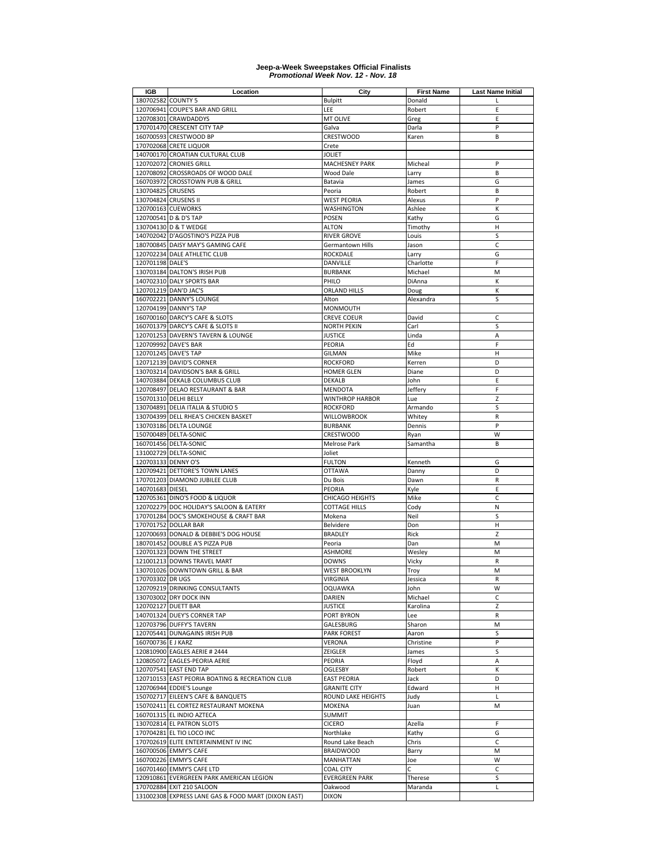| IGB                  | Location                                            | City                   | <b>First Name</b> | <b>Last Name Initial</b> |
|----------------------|-----------------------------------------------------|------------------------|-------------------|--------------------------|
| 180702582 COUNTY 5   |                                                     | <b>Bulpitt</b>         | Donald            |                          |
|                      | 120706941 COUPE'S BAR AND GRILL                     | LEE                    | Robert            | E                        |
|                      | 120708301 CRAWDADDYS                                | MT OLIVE               | Greg              | E                        |
|                      | 170701470 CRESCENT CITY TAP                         | Galva                  | Darla             | P                        |
|                      | 160700593 CRESTWOOD BP                              | CRESTWOOD              | Karen             | B                        |
|                      | 170702068 CRETE LIQUOR                              | Crete                  |                   |                          |
|                      | 140700170 CROATIAN CULTURAL CLUB                    | <b>JOLIET</b>          |                   |                          |
|                      | 120702072 CRONIES GRILL                             |                        |                   | P                        |
|                      |                                                     | <b>MACHESNEY PARK</b>  | Micheal           |                          |
|                      | 120708092 CROSSROADS OF WOOD DALE                   | Wood Dale              | Larry             | B                        |
|                      | 160703972 CROSSTOWN PUB & GRILL                     | Batavia                | James             | G                        |
| 130704825 CRUSENS    |                                                     | Peoria                 | Robert            | B                        |
| 130704824 CRUSENS II |                                                     | <b>WEST PEORIA</b>     | Alexus            | P                        |
| 120700163 CUEWORKS   |                                                     | <b>WASHINGTON</b>      | Ashlee            | К                        |
|                      | 120700541 D & D'S TAP                               | <b>POSEN</b>           | Kathy             | G                        |
|                      | 130704130 D & T WEDGE                               | <b>ALTON</b>           | Timothy           | н                        |
|                      | 140702042 D'AGOSTINO'S PIZZA PUB                    | <b>RIVER GROVE</b>     | Louis             | S                        |
|                      | 180700845 DAISY MAY'S GAMING CAFE                   | Germantown Hills       | Jason             | C                        |
|                      | 120702234 DALE ATHLETIC CLUB                        | <b>ROCKDALE</b>        | Larry             | G                        |
| 120701198 DALE'S     |                                                     | DANVILLE               | Charlotte         | F                        |
|                      | 130703184 DALTON'S IRISH PUB                        |                        |                   | M                        |
|                      |                                                     | <b>BURBANK</b>         | Michael           |                          |
|                      | 140702310 DALY SPORTS BAR                           | PHILO                  | DiAnna            | К                        |
|                      | 120701219 DAN'D JAC'S                               | <b>ORLAND HILLS</b>    | Doug              | К                        |
|                      | 160702221 DANNY'S LOUNGE                            | Alton                  | Alexandra         | S                        |
|                      | 120704199 DANNY'S TAP                               | <b>MONMOUTH</b>        |                   |                          |
|                      | 160700160 DARCY'S CAFE & SLOTS                      | <b>CREVE COEUR</b>     | David             | C                        |
|                      | 160701379 DARCY'S CAFE & SLOTS II                   | <b>NORTH PEKIN</b>     | Carl              | S                        |
|                      | 120701253 DAVERN'S TAVERN & LOUNGE                  | <b>JUSTICE</b>         | Linda             | Α                        |
|                      | 120709992 DAVE'S BAR                                | PEORIA                 | Ed                | F                        |
|                      | 120701245 DAVE'S TAP                                | <b>GILMAN</b>          | Mike              | Η                        |
|                      | 120712139 DAVID'S CORNER                            | <b>ROCKFORD</b>        | Kerren            | D                        |
|                      | 130703214 DAVIDSON'S BAR & GRILL                    | <b>HOMER GLEN</b>      |                   | D                        |
|                      |                                                     | <b>DEKALB</b>          | Diane             |                          |
|                      | 140703884 DEKALB COLUMBUS CLUB                      |                        | John              | Ε                        |
|                      | 120708497 DELAO RESTAURANT & BAR                    | MENDOTA                | Jeffery           | F                        |
|                      | 150701310 DELHI BELLY                               | <b>WINTHROP HARBOR</b> | Lue               | Z                        |
|                      | 130704891 DELIA ITALIA & STUDIO 5                   | <b>ROCKFORD</b>        | Armando           | S                        |
|                      | 130704399 DELL RHEA'S CHICKEN BASKET                | <b>WILLOWBROOK</b>     | Whitey            | R                        |
|                      | 130703186 DELTA LOUNGE                              | <b>BURBANK</b>         | Dennis            | P                        |
|                      | 150700489 DELTA-SONIC                               | CRESTWOOD              | Ryan              | W                        |
|                      | 160701456 DELTA-SONIC                               | Melrose Park           | Samantha          | B                        |
|                      | 131002729 DELTA-SONIC                               | Joliet                 |                   |                          |
| 120703133 DENNY O'S  |                                                     | <b>FULTON</b>          | Kenneth           | G                        |
|                      | 120709421 DETTORE'S TOWN LANES                      | <b>OTTAWA</b>          |                   | D                        |
|                      |                                                     |                        | Danny             |                          |
|                      | 170701203 DIAMOND JUBILEE CLUB                      | Du Bois                | Dawn              | R                        |
| 140701683 DIESEL     |                                                     | <b>PEORIA</b>          | Kyle              | E                        |
|                      | 120705361 DINO'S FOOD & LIQUOR                      | <b>CHICAGO HEIGHTS</b> | Mike              | C                        |
|                      | 120702279 DOC HOLIDAY'S SALOON & EATERY             | <b>COTTAGE HILLS</b>   | Cody              | N                        |
|                      | 170701284 DOC'S SMOKEHOUSE & CRAFT BAR              | Mokena                 | Neil              | S                        |
|                      | 170701752 DOLLAR BAR                                | Belvidere              | Don               | Н                        |
|                      | 120700693 DONALD & DEBBIE'S DOG HOUSE               | <b>BRADLEY</b>         | Rick              | Z                        |
|                      | 180701452 DOUBLE A'S PIZZA PUB                      | Peoria                 | Dan               | M                        |
|                      | 120701323 DOWN THE STREET                           | <b>ASHMORE</b>         | Wesley            | M                        |
|                      | 121001213 DOWNS TRAVEL MART                         | <b>DOWNS</b>           | Vicky             | ${\sf R}$                |
|                      | 130701026 DOWNTOWN GRILL & BAR                      | <b>WEST BROOKLYN</b>   | Troy              | M                        |
| 170703302 DR UGS     |                                                     | <b>VIRGINIA</b>        | Jessica           | R                        |
|                      | 120709219 DRINKING CONSULTANTS                      |                        |                   | W                        |
|                      |                                                     | <b>OQUAWKA</b>         | John              |                          |
|                      | 130703002 DRY DOCK INN                              | DARIEN                 | Michael           | с                        |
|                      | 120702127 DUETT BAR                                 | <b>JUSTICE</b>         | Karolina          | Z                        |
|                      | 140701324 DUEY'S CORNER TAP                         | PORT BYRON             | Lee               | R                        |
|                      | 120703796 DUFFY'S TAVERN                            | GALESBURG              | Sharon            | M                        |
|                      | 120705441 DUNAGAINS IRISH PUB                       | <b>PARK FOREST</b>     | Aaron             | S                        |
| 160700736 E J KARZ   |                                                     | <b>VERONA</b>          | Christine         | P                        |
|                      | 120810900 EAGLES AERIE # 2444                       | ZEIGLER                | James             | S                        |
|                      | 120805072 EAGLES-PEORIA AERIE                       | PEORIA                 | Floyd             | Α                        |
|                      | 120707541 EAST END TAP                              | OGLESBY                | Robert            | к                        |
|                      | 120710153 EAST PEORIA BOATING & RECREATION CLUB     | <b>EAST PEORIA</b>     | Jack              | D                        |
|                      | 120706944 EDDIE'S Lounge                            | <b>GRANITE CITY</b>    | Edward            | Н                        |
|                      | 150702717 EILEEN'S CAFE & BANQUETS                  | ROUND LAKE HEIGHTS     | Judy              | L                        |
|                      |                                                     |                        |                   |                          |
|                      | 150702411 EL CORTEZ RESTAURANT MOKENA               | <b>MOKENA</b>          | Juan              | M                        |
|                      | 160701315 EL INDIO AZTECA                           | <b>SUMMIT</b>          |                   |                          |
|                      | 130702814 EL PATRON SLOTS                           | <b>CICERO</b>          | Azella            | F                        |
|                      | 170704281 EL TIO LOCO INC                           | Northlake              | Kathy             | G                        |
|                      | 170702619 ELITE ENTERTAINMENT IV INC                | Round Lake Beach       | Chris             | C                        |
|                      | 160700506 EMMY'S CAFE                               | <b>BRAIDWOOD</b>       | Barry             | M                        |
|                      | 160700226 EMMY'S CAFE                               | MANHATTAN              | Joe               | W                        |
|                      | 160701460 EMMY'S CAFE LTD                           | <b>COAL CITY</b>       | C                 | C                        |
|                      | 120910861 EVERGREEN PARK AMERICAN LEGION            | <b>EVERGREEN PARK</b>  | Therese           | S                        |
|                      | 170702884 EXIT 210 SALOON                           | Oakwood                | Maranda           | L                        |
|                      | 131002308 EXPRESS LANE GAS & FOOD MART (DIXON EAST) | <b>DIXON</b>           |                   |                          |
|                      |                                                     |                        |                   |                          |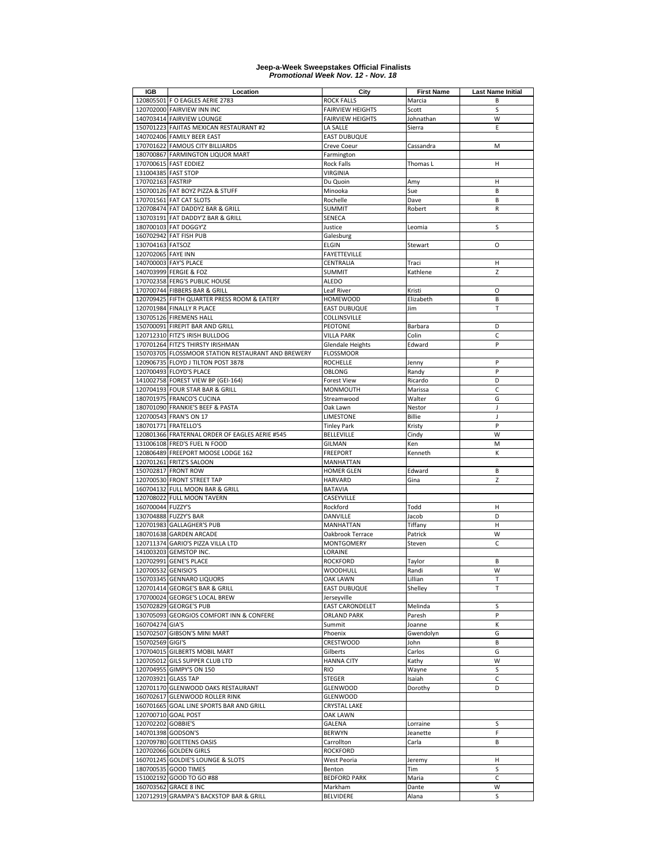| IGB                 | Location                                                                       | City                             | <b>First Name</b>       | <b>Last Name Initial</b> |
|---------------------|--------------------------------------------------------------------------------|----------------------------------|-------------------------|--------------------------|
|                     | 120805501 F O EAGLES AERIE 2783                                                | ROCK FALLS                       | Marcia                  | В                        |
|                     | 120702000 FAIRVIEW INN INC                                                     | <b>FAIRVIEW HEIGHTS</b>          | Scott                   | S                        |
|                     | 140703414 FAIRVIEW LOUNGE                                                      | <b>FAIRVIEW HEIGHTS</b>          | Johnathan               | W                        |
|                     | 150701223 FAJITAS MEXICAN RESTAURANT #2                                        | LA SALLE                         | Sierra                  | E                        |
|                     | 140702406 FAMILY BEER EAST                                                     | <b>EAST DUBUQUE</b>              |                         |                          |
|                     | 170701622 FAMOUS CITY BILLIARDS                                                | Creve Coeur                      | Cassandra               | M                        |
|                     | 180700867 FARMINGTON LIQUOR MART                                               | Farmington                       |                         |                          |
|                     | 170700615 FAST EDDIEZ                                                          | <b>Rock Falls</b>                | Thomas L                | н                        |
| 131004385 FAST STOP |                                                                                | VIRGINIA                         |                         |                          |
| 170702163 FASTRIP   |                                                                                | Du Quoin                         | Amy                     | Н                        |
|                     | 150700126 FAT BOYZ PIZZA & STUFF                                               | Minooka                          | Sue                     | B                        |
|                     | 170701561 FAT CAT SLOTS                                                        | Rochelle                         | Dave                    | B                        |
|                     | 120708474 FAT DADDYZ BAR & GRILL                                               | <b>SUMMIT</b>                    | Robert                  | $\mathsf{R}$             |
|                     | 130703191 FAT DADDY'Z BAR & GRILL                                              | SENECA                           |                         |                          |
|                     | 180700103 FAT DOGGY'Z                                                          | Justice                          | Leomia                  | S                        |
|                     | 160702942 FAT FISH PUB                                                         | Galesburg                        |                         |                          |
| 130704163 FATSOZ    |                                                                                | ELGIN                            | Stewart                 | O                        |
| 120702065 FAYE INN  |                                                                                | <b>FAYETTEVILLE</b>              |                         |                          |
|                     | 140700003 FAY'S PLACE                                                          | CENTRALIA                        | Traci                   | н                        |
|                     | 140703999 FERGIE & FOZ                                                         | <b>SUMMIT</b>                    | Kathlene                | Z                        |
|                     | 170702358 FERG'S PUBLIC HOUSE                                                  | <b>ALEDO</b>                     |                         |                          |
|                     | 170700744 FIBBERS BAR & GRILL                                                  | Leaf River                       | Kristi                  | O                        |
|                     | 120709425 FIFTH QUARTER PRESS ROOM & EATERY                                    | <b>HOMEWOOD</b>                  | Elizabeth               | B                        |
|                     | 120701984 FINALLY R PLACE                                                      | <b>EAST DUBUQUE</b>              | Jim                     | $\mathsf T$              |
|                     | 130705126 FIREMENS HALL                                                        | COLLINSVILLE                     |                         |                          |
|                     | 150700091 FIREPIT BAR AND GRILL                                                | <b>PEOTONE</b>                   | Barbara                 | D                        |
|                     | 120712310 FITZ'S IRISH BULLDOG                                                 | VILLA PARK                       | Colin                   | C                        |
|                     | 170701264 FITZ'S THIRSTY IRISHMAN                                              | Glendale Heights                 | Edward                  | P                        |
|                     | 150703705 FLOSSMOOR STATION RESTAURANT AND BREWERY                             | <b>FLOSSMOOR</b>                 |                         |                          |
|                     | 120906735 FLOYD J TILTON POST 3878<br>120700493 FLOYD'S PLACE                  | <b>ROCHELLE</b><br><b>OBLONG</b> | Jenny                   | P<br>P                   |
|                     |                                                                                |                                  | Randy                   |                          |
|                     | 141002758 FOREST VIEW BP (GEI-164)<br>120704193 FOUR STAR BAR & GRILL          | <b>Forest View</b>               | Ricardo                 | D                        |
|                     |                                                                                | <b>MONMOUTH</b>                  | Marissa                 | $\mathsf{C}$             |
|                     | 180701975 FRANCO'S CUCINA<br>180701090 FRANKIE'S BEEF & PASTA                  | Streamwood                       | Walter                  | G                        |
|                     | 120700543 FRAN'S ON 17                                                         | Oak Lawn<br>LIMESTONE            | Nestor<br><b>Billie</b> | J<br>J                   |
|                     |                                                                                |                                  |                         | P                        |
|                     | 180701771 FRATELLO'S                                                           | <b>Tinley Park</b>               | Kristy                  | W                        |
|                     | 120801366 FRATERNAL ORDER OF EAGLES AERIE #545<br>131006108 FRED'S FUEL N FOOD | <b>BELLEVILLE</b>                | Cindy                   | M                        |
|                     |                                                                                | GILMAN<br><b>FREEPORT</b>        | Ken<br>Kenneth          | K                        |
|                     | 120806489 FREEPORT MOOSE LODGE 162<br>120701261 FRITZ'S SALOON                 | MANHATTAN                        |                         |                          |
|                     | 150702817 FRONT ROW                                                            | <b>HOMER GLEN</b>                | Edward                  | B                        |
|                     | 120700530 FRONT STREET TAP                                                     | <b>HARVARD</b>                   | Gina                    | Z                        |
|                     | 160704132 FULL MOON BAR & GRILL                                                | <b>BATAVIA</b>                   |                         |                          |
|                     | 120708022 FULL MOON TAVERN                                                     | CASEYVILLE                       |                         |                          |
| 160700044 FUZZY'S   |                                                                                | Rockford                         | Todd                    | н                        |
|                     | 130704888 FUZZY'S BAR                                                          | DANVILLE                         | Jacob                   | D                        |
|                     | 120701983 GALLAGHER'S PUB                                                      | <b>MANHATTAN</b>                 | Tiffany                 | н                        |
|                     | 180701638 GARDEN ARCADE                                                        | Oakbrook Terrace                 | Patrick                 | W                        |
|                     | 120711374 GARIO'S PIZZA VILLA LTD                                              | <b>MONTGOMERY</b>                | Steven                  | $\mathsf{C}$             |
|                     | 141003203 GEMSTOP INC.                                                         | LORAINE                          |                         |                          |
|                     | 120702991 GENE'S PLACE                                                         | <b>ROCKFORD</b>                  | Taylor                  | В                        |
| 120700532 GENISIO'S |                                                                                | WOODHULL                         | Randi                   | W                        |
|                     | 150703345 GENNARO LIQUORS                                                      | OAK LAWN                         | Lillian                 | Т                        |
|                     | 120701414 GEORGE'S BAR & GRILL                                                 | <b>EAST DUBUQUE</b>              | Shelley                 | T                        |
|                     | 170700024 GEORGE'S LOCAL BREW                                                  | Jerseyville                      |                         |                          |
|                     | 150702829 GEORGE'S PUB                                                         | <b>EAST CARONDELET</b>           | Melinda                 | S                        |
|                     | 130705093 GEORGIOS COMFORT INN & CONFERE                                       | <b>ORLAND PARK</b>               | Paresh                  | P                        |
| 160704274 GIA'S     |                                                                                | Summit                           | Joanne                  | К                        |
|                     | 150702507 GIBSON'S MINI MART                                                   | Phoenix                          | Gwendolyn               | G                        |
| 150702569 GIGI'S    |                                                                                | CRESTWOOD                        | John                    | В                        |
|                     | 170704015 GILBERTS MOBIL MART                                                  | Gilberts                         | Carlos                  | G                        |
|                     | 120705012 GILS SUPPER CLUB LTD                                                 | <b>HANNA CITY</b>                | Kathy                   | W                        |
|                     | 120704955 GIMPY'S ON 150                                                       | RIO                              | Wayne                   | S                        |
| 120703921 GLASS TAP |                                                                                | STEGER                           | Isaiah                  | C                        |
|                     | 120701170 GLENWOOD OAKS RESTAURANT                                             | <b>GLENWOOD</b>                  | Dorothy                 | D                        |
|                     | 160702617 GLENWOOD ROLLER RINK                                                 | GLENWOOD                         |                         |                          |
|                     | 160701665 GOAL LINE SPORTS BAR AND GRILL                                       | <b>CRYSTAL LAKE</b>              |                         |                          |
|                     | 120700710 GOAL POST                                                            | OAK LAWN                         |                         |                          |
| 120702202 GOBBIE'S  |                                                                                | GALENA                           | Lorraine                | S                        |
| 140701398 GODSON'S  |                                                                                | <b>BERWYN</b>                    | Jeanette                | F                        |
|                     | 120709780 GOETTENS OASIS                                                       | Carrollton                       | Carla                   | В                        |
|                     | 120702066 GOLDEN GIRLS                                                         | <b>ROCKFORD</b>                  |                         |                          |
|                     | 160701245 GOLDIE'S LOUNGE & SLOTS                                              | West Peoria                      | Jeremy                  | н                        |
|                     | 180700535 GOOD TIMES                                                           | Benton                           | Tim                     | S                        |
|                     | 151002192 GOOD TO GO #88                                                       | <b>BEDFORD PARK</b>              | Maria                   | C                        |
|                     | 160703562 GRACE 8 INC                                                          | Markham                          | Dante                   | W                        |
|                     | 120712919 GRAMPA'S BACKSTOP BAR & GRILL                                        | <b>BELVIDERE</b>                 | Alana                   | S                        |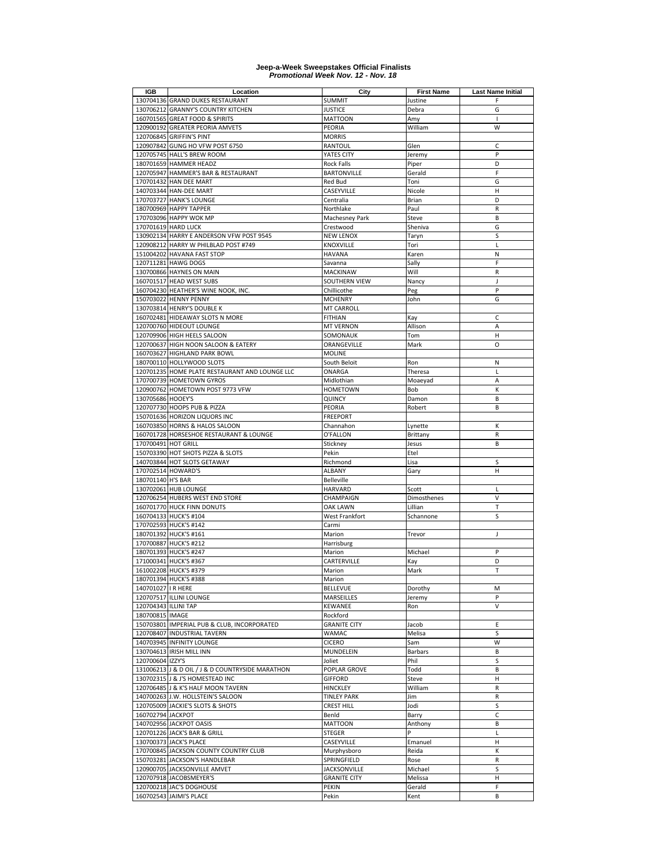| IGB                  | Location                                         | City                | <b>First Name</b> | <b>Last Name Initial</b> |
|----------------------|--------------------------------------------------|---------------------|-------------------|--------------------------|
|                      | 130704136 GRAND DUKES RESTAURANT                 | <b>SUMMIT</b>       | Justine           | F                        |
|                      | 130706212 GRANNY'S COUNTRY KITCHEN               | <b>JUSTICE</b>      | Debra             | G                        |
|                      | 160701565 GREAT FOOD & SPIRITS                   | <b>MATTOON</b>      | Amy               |                          |
|                      | 120900192 GREATER PEORIA AMVETS                  | <b>PEORIA</b>       | William           | W                        |
|                      | 120706845 GRIFFIN'S PINT                         | <b>MORRIS</b>       |                   |                          |
|                      | 120907842 GUNG HO VFW POST 6750                  | RANTOUL             | Glen              | C                        |
|                      | 120705745 HALL'S BREW ROOM                       | YATES CITY          | Jeremy            | P                        |
|                      | 180701659 HAMMER HEADZ                           | <b>Rock Falls</b>   | Piper             | D                        |
|                      | 120705947 HAMMER'S BAR & RESTAURANT              | <b>BARTONVILLE</b>  | Gerald            | F                        |
|                      |                                                  |                     |                   |                          |
|                      | 170701432 HAN DEE MART                           | Red Bud             | Toni              | G                        |
|                      | 140703344 HAN-DEE MART                           | CASEYVILLE          | Nicole            | $\mathsf{H}$             |
|                      | 170703727 HANK'S LOUNGE                          | Centralia           | Brian             | D                        |
|                      | 180700969 HAPPY TAPPER                           | Northlake           | Paul              | $\mathsf R$              |
|                      | 170703096 HAPPY WOK MP                           | Machesney Park      | Steve             | B                        |
|                      | 170701619 HARD LUCK                              | Crestwood           | Sheniva           | G                        |
|                      | 130902134 HARRY E ANDERSON VFW POST 9545         | <b>NEW LENOX</b>    | Taryn             | S                        |
|                      | 120908212 HARRY W PHILBLAD POST #749             | KNOXVILLE           | Tori              | L                        |
|                      | 151004202 HAVANA FAST STOP                       | <b>HAVANA</b>       | Karen             | N                        |
|                      | 120711281 HAWG DOGS                              | Savanna             | Sally             | F                        |
|                      | 130700866 HAYNES ON MAIN                         | <b>MACKINAW</b>     | Will              | $\mathsf R$              |
|                      | 160701517 HEAD WEST SUBS                         | SOUTHERN VIEW       | Nancy             | J                        |
|                      |                                                  |                     |                   |                          |
|                      | 160704230 HEATHER'S WINE NOOK, INC               | Chillicothe         | Peg               | P                        |
|                      | 150703022 HENNY PENNY                            | <b>MCHENRY</b>      | John              | G                        |
|                      | 130703814 HENRY'S DOUBLE K                       | <b>MT CARROLL</b>   |                   |                          |
|                      | 160702481 HIDEAWAY SLOTS N MORE                  | <b>FITHIAN</b>      | Kay               | C                        |
|                      | 120700760 HIDEOUT LOUNGE                         | <b>MT VERNON</b>    | Allison           | Α                        |
|                      | 120709906 HIGH HEELS SALOON                      | SOMONAUK            | Tom               | н                        |
|                      | 120700637 HIGH NOON SALOON & EATERY              | ORANGEVILLE         | Mark              | O                        |
|                      | 160703627 HIGHLAND PARK BOWL                     | <b>MOLINE</b>       |                   |                          |
|                      | 180700110 HOLLYWOOD SLOTS                        | South Beloit        | Ron               | N                        |
|                      | 120701235 HOME PLATE RESTAURANT AND LOUNGE LLC   | ONARGA              | Theresa           | $\mathbf{L}$             |
|                      | 170700739 HOMETOWN GYROS                         | Midlothian          | Moaeyad           | A                        |
|                      | 120900762 HOMETOWN POST 9773 VFW                 | <b>HOMETOWN</b>     | Bob               | K                        |
| 130705686 HOOEY'S    |                                                  | QUINCY              | Damon             | B                        |
|                      |                                                  |                     |                   |                          |
|                      | 120707730 HOOPS PUB & PIZZA                      | PEORIA              | Robert            | B                        |
|                      | 150701636 HORIZON LIQUORS INC                    | <b>FREEPORT</b>     |                   |                          |
|                      | 160703850 HORNS & HALOS SALOON                   | Channahon           | Lynette           | К                        |
|                      | 160701728 HORSESHOE RESTAURANT & LOUNGE          | O'FALLON            | Brittany          | R                        |
| 170700491 HOT GRILL  |                                                  | Stickney            | Jesus             | B                        |
|                      | 150703390 HOT SHOTS PIZZA & SLOTS                | Pekin               | Etel              |                          |
|                      | 140703844 HOT SLOTS GETAWAY                      | Richmond            | Lisa              | S                        |
| 170702514 HOWARD'S   |                                                  | <b>ALBANY</b>       | Gary              | H                        |
| 180701140 H'S BAR    |                                                  | <b>Belleville</b>   |                   |                          |
|                      | 130702061 HUB LOUNGE                             | <b>HARVARD</b>      | Scott             | L                        |
|                      | 120706254 HUBERS WEST END STORE                  | CHAMPAIGN           | Dimosthenes       | V                        |
|                      | 160701770 HUCK FINN DONUTS                       | <b>OAK LAWN</b>     | Lillian           | T                        |
|                      |                                                  |                     |                   |                          |
|                      | 160704133 HUCK'S #104                            | West Frankfort      | Schannone         | S                        |
|                      | 170702593 HUCK'S #142                            | Carmi               |                   |                          |
|                      | 180701392 HUCK'S #161                            | Marion              | Trevor            | I                        |
|                      | 170700887 HUCK'S #212                            | Harrisburg          |                   |                          |
|                      | 180701393 HUCK'S #247                            | Marion              | Michael           | P                        |
|                      | 171000341 HUCK'S #367                            | CARTERVILLE         | Kay               | D                        |
|                      | 161002208 HUCK'S #379                            | Marion              | Mark              | T                        |
|                      | 180701394 HUCK'S #388                            | Marion              |                   |                          |
| 140701027 IR HERE    |                                                  | <b>BELLEVUE</b>     | Dorothy           | M                        |
|                      | 120707517 ILLINI LOUNGE                          | MARSEILLES          | Jeremy            | P                        |
| 120704343 ILLINI TAP |                                                  | KEWANEE             | Ron               | $\vee$                   |
| 180700815 IMAGE      |                                                  | Rockford            |                   |                          |
|                      |                                                  | <b>GRANITE CITY</b> | Jacob             | Ε                        |
|                      | 150703801 IMPERIAL PUB & CLUB, INCORPORATED      |                     |                   |                          |
|                      | 120708407 INDUSTRIAL TAVERN                      | <b>WAMAC</b>        | Melisa            | S                        |
|                      | 140703945 INFINITY LOUNGE                        | <b>CICERO</b>       | Sam               | W                        |
|                      | 130704613 IRISH MILL INN                         | MUNDELEIN           | <b>Barbars</b>    | B                        |
| 120700604 IZZY'S     |                                                  | Joliet              | Phil              | S                        |
|                      | 131006213 J & D OIL / J & D COUNTRYSIDE MARATHON | POPLAR GROVE        | Todd              | B                        |
|                      | 130702315 J & J'S HOMESTEAD INC                  | <b>GIFFORD</b>      | Steve             | н                        |
|                      | 120706485 J & K'S HALF MOON TAVERN               | <b>HINCKLEY</b>     | William           | R                        |
|                      | 140700263 J.W. HOLLSTEIN'S SALOON                | <b>TINLEY PARK</b>  | Jim               | R                        |
|                      | 120705009 JACKIE'S SLOTS & SHOTS                 | <b>CREST HILL</b>   | Jodi              | S                        |
| 160702794 JACKPOT    |                                                  | Benld               | Barry             | С                        |
|                      | 140702956 JACKPOT OASIS                          | <b>MATTOON</b>      | Anthony           | B                        |
|                      | 120701226 JACK'S BAR & GRILL                     | <b>STEGER</b>       | Þ                 | L                        |
|                      |                                                  |                     |                   |                          |
|                      | 130700373 JACK'S PLACE                           | CASEYVILLE          | Emanuel           | н                        |
|                      | 170700845 JACKSON COUNTY COUNTRY CLUB            | Murphysboro         | Reida             | К                        |
|                      | 150703281 JACKSON'S HANDLEBAR                    | SPRINGFIELD         | Rose              | R                        |
|                      | 120900705 JACKSONVILLE AMVET                     | <b>JACKSONVILLE</b> | Michael           | S                        |
|                      | 120707918 JACOBSMEYER'S                          | <b>GRANITE CITY</b> | Melissa           | н                        |
|                      | 120700218 JAC'S DOGHOUSE                         | PEKIN               | Gerald            | F                        |
|                      | 160702543 JAIMI'S PLACE                          | Pekin               | Kent              | B                        |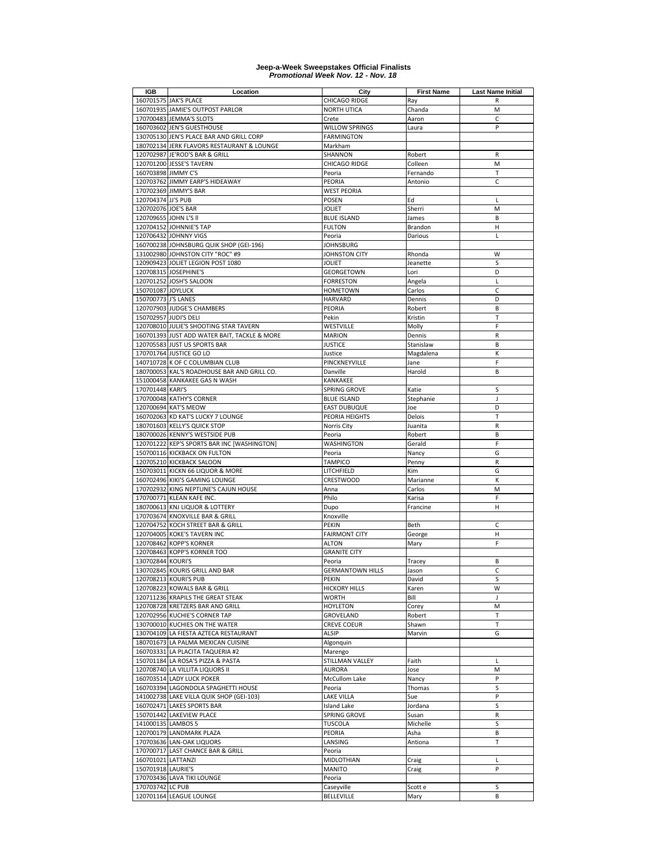| IGB                   | Location                                     | City                    | <b>First Name</b> | <b>Last Name Initial</b> |
|-----------------------|----------------------------------------------|-------------------------|-------------------|--------------------------|
|                       | 160701575 JAK'S PLACE                        | CHICAGO RIDGE           | Ray               | R                        |
|                       | 160701935 JAMIE'S OUTPOST PARLOR             | <b>NORTH UTICA</b>      | Chanda            | M                        |
|                       | 170700483 JEMMA'S SLOTS                      | Crete                   | Aaron             | C                        |
|                       | 160703602 JEN'S GUESTHOUSE                   | <b>WILLOW SPRINGS</b>   | Laura             | P                        |
|                       | 130705130 JEN'S PLACE BAR AND GRILL CORP     | <b>FARMINGTON</b>       |                   |                          |
|                       | 180702134 JERK FLAVORS RESTAURANT & LOUNGE   | Markham                 |                   |                          |
|                       | 120702987 JE'ROD'S BAR & GRILL               | SHANNON                 |                   | $\mathsf{R}$             |
|                       |                                              |                         | Robert            |                          |
|                       | 120701200 JESSE'S TAVERN                     | CHICAGO RIDGE           | Colleen           | M                        |
| 160703898 JIMMY C'S   |                                              | Peoria                  | Fernando          | T                        |
|                       | 120703762 JIMMY EARP'S HIDEAWAY              | PEORIA                  | Antonio           | C                        |
|                       | 170702369 JIMMY'S BAR                        | <b>WEST PEORIA</b>      |                   |                          |
| 120704374 JJ'S PUB    |                                              | POSEN                   | Ed                | L                        |
| 120702076 JOE'S BAR   |                                              | JOLIET                  | Sherri            | M                        |
| 120709655 JOHN L'S II |                                              | <b>BLUE ISLAND</b>      | James             | B                        |
|                       | 120704152 JOHNNIE'S TAP                      | <b>FULTON</b>           | Brandon           | н                        |
|                       | 120706432 JOHNNY VIGS                        | Peoria                  | Darious           | L                        |
|                       | 160700238 JOHNSBURG QUIK SHOP (GEI-196)      | <b>JOHNSBURG</b>        |                   |                          |
|                       | 131002980 JOHNSTON CITY "ROC" #9             | JOHNSTON CITY           | Rhonda            | W                        |
|                       | 120909423 JOLIET LEGION POST 1080            | <b>JOLIET</b>           | Jeanette          | S                        |
|                       | 120708315 JOSEPHINE'S                        | GEORGETOWN              | Lori              | D                        |
|                       | 120701252 JOSH'S SALOON                      | <b>FORRESTON</b>        |                   | L                        |
|                       |                                              |                         | Angela            |                          |
| 150701087 JOYLUCK     |                                              | <b>HOMETOWN</b>         | Carlos            | C                        |
| 150700773 J'S LANES   |                                              | <b>HARVARD</b>          | Dennis            | D                        |
|                       | 120707903 JUDGE'S CHAMBERS                   | PEORIA                  | Robert            | B                        |
| 150702957 JUDI'S DELI |                                              | Pekin                   | Kristin           | T                        |
|                       | 120708010 JULIE'S SHOOTING STAR TAVERN       | WESTVILLE               | Molly             | F                        |
|                       | 160701393 JUST ADD WATER BAIT, TACKLE & MORE | <b>MARION</b>           | Dennis            | R                        |
|                       | 120705583 JUST US SPORTS BAR                 | <b>JUSTICE</b>          | Stanislaw         | B                        |
|                       | 170701764 JUSTICE GO LO                      | Justice                 | Magdalena         | К                        |
|                       | 140710728 K OF C COLUMBIAN CLUB              | PINCKNEYVILLE           | Jane              | F                        |
|                       | 180700053 KAL'S ROADHOUSE BAR AND GRILL CO.  | Danville                | Harold            | B                        |
|                       | 151000458 KANKAKEE GAS N WASH                | KANKAKEE                |                   |                          |
| 170701448 KARI'S      |                                              | <b>SPRING GROVE</b>     | Katie             | S                        |
|                       |                                              |                         |                   | J                        |
|                       | 170700048 KATHY'S CORNER                     | <b>BLUE ISLAND</b>      | Stephanie         |                          |
|                       | 120700694 KAT'S MEOW                         | <b>EAST DUBUQUE</b>     | Joe               | D                        |
|                       | 160702063 KD KAT'S LUCKY 7 LOUNGE            | PEORIA HEIGHTS          | Delois            | T                        |
|                       | 180701603 KELLY'S QUICK STOP                 | Norris City             | Juanita           | $\mathsf R$              |
|                       | 180700026 KENNY'S WESTSIDE PUB               | Peoria                  | Robert            | B                        |
|                       | 120701222 KEP'S SPORTS BAR INC [WASHINGTON]  | WASHINGTON              | Gerald            | F                        |
|                       | 150700116 KICKBACK ON FULTON                 | Peoria                  | Nancy             | G                        |
|                       | 120705210 KICKBACK SALOON                    | <b>TAMPICO</b>          | Penny             | $\mathsf R$              |
|                       | 150703011 KICKN 66 LIQUOR & MORE             | LITCHFIELD              | Kim               | G                        |
|                       | 160702496 KIKI'S GAMING LOUNGE               | CRESTWOOD               | Marianne          | К                        |
|                       | 170702932 KING NEPTUNE'S CAJUN HOUSE         | Anna                    | Carlos            | M                        |
|                       | 170700771 KLEAN KAFE INC.                    | Philo                   | Karisa            | F                        |
|                       | 180700613 KNJ LIQUOR & LOTTERY               | Dupo                    | Francine          | Н                        |
|                       | 170703674 KNOXVILLE BAR & GRILL              |                         |                   |                          |
|                       |                                              | Knoxville               |                   |                          |
|                       | 120704752 KOCH STREET BAR & GRILL            | PEKIN                   | Beth              | C                        |
|                       | 120704005 KOKE'S TAVERN INC                  | <b>FAIRMONT CITY</b>    | George            | H                        |
|                       | 120708462 KOPP'S KORNER                      | <b>ALTON</b>            | Mary              | F                        |
|                       | 120708463 KOPP'S KORNER TOO                  | <b>GRANITE CITY</b>     |                   |                          |
| 130702844 KOURI'S     |                                              | Peoria                  | Tracey            | B                        |
|                       | 130702845 KOURIS GRILL AND BAR               | <b>GERMANTOWN HILLS</b> | Jason             | $\mathsf{C}$             |
|                       | 120708213 KOURI'S PUB                        | PEKIN                   | David             | S                        |
|                       | 120708223 KOWALS BAR & GRILL                 | <b>HICKORY HILLS</b>    | Karen             | W                        |
|                       | 120711236 KRAPILS THE GREAT STEAK            | <b>WORTH</b>            | Bill              | J                        |
|                       | 120708728 KRETZERS BAR AND GRILL             | <b>HOYLETON</b>         | Corey             | M                        |
|                       | 120702956 KUCHIE'S CORNER TAP                | GROVELAND               | Robert            | $\top$                   |
|                       | 130700010 KUCHIES ON THE WATER               | <b>CREVE COEUR</b>      | Shawn             | T                        |
|                       | 130704109 LA FIESTA AZTECA RESTAURANT        | ALSIP                   | Marvin            | G                        |
|                       |                                              |                         |                   |                          |
|                       | 180701673 LA PALMA MEXICAN CUISINE           | Algonquin               |                   |                          |
|                       | 160703331 LA PLACITA TAQUERIA #2             | Marengo                 |                   |                          |
|                       | 150701184 LA ROSA'S PIZZA & PASTA            | STILLMAN VALLEY         | Faith             | L                        |
|                       | 120708740 LA VILLITA LIQUORS II              | <b>AURORA</b>           | Jose              | M                        |
|                       | 160703514 LADY LUCK POKER                    | <b>McCullom Lake</b>    | Nancy             | P                        |
|                       | 160703394 LAGONDOLA SPAGHETTI HOUSE          | Peoria                  | Thomas            | S                        |
|                       | 141002738 LAKE VILLA QUIK SHOP (GEI-103)     | <b>LAKE VILLA</b>       | Sue               | P                        |
|                       | 160702471 LAKES SPORTS BAR                   | Island Lake             | Jordana           | S                        |
|                       | 150701442 LAKEVIEW PLACE                     | SPRING GROVE            | Susan             | R                        |
| 141000135 LAMBOS 5    |                                              | <b>TUSCOLA</b>          | Michelle          | S                        |
|                       | 120700179 LANDMARK PLAZA                     | PEORIA                  | Asha              | B                        |
|                       | 170703636 LAN-OAK LIQUORS                    | LANSING                 | Antiona           | Т                        |
|                       |                                              |                         |                   |                          |
|                       | 170700717 LAST CHANCE BAR & GRILL            | Peoria                  |                   |                          |
| 160701021 LATTANZI    |                                              | MIDLOTHIAN              | Craig             | L                        |
| 150701918 LAURIE'S    |                                              | <b>MANITO</b>           | Craig             | P                        |
|                       | 170703436 LAVA TIKI LOUNGE                   | Peoria                  |                   |                          |
| 170703742 LC PUB      |                                              | Caseyville              | Scott e           | s                        |
|                       | 120701164 LEAGUE LOUNGE                      | <b>BELLEVILLE</b>       | Mary              | B                        |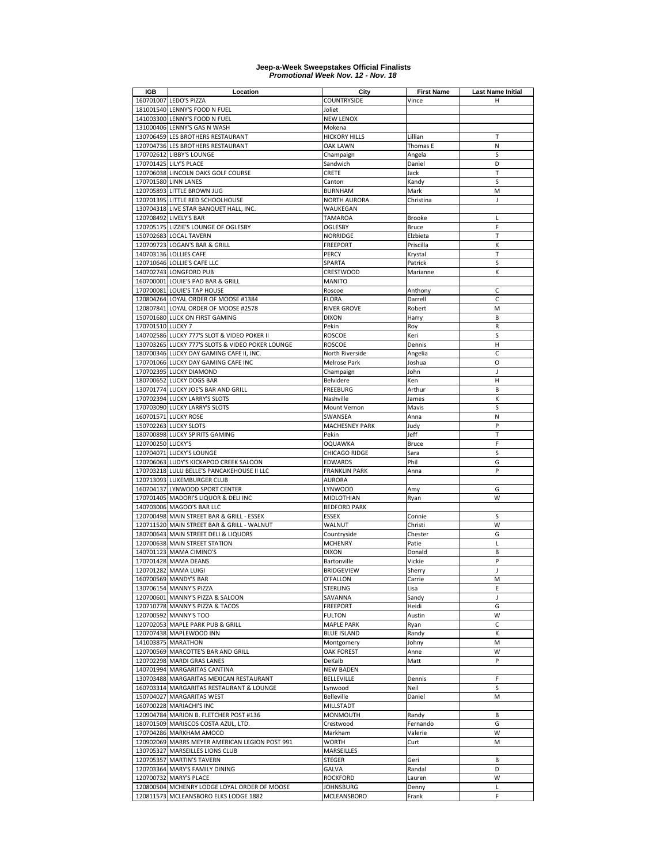| IGB               | Location                                         | City                  | <b>First Name</b> | <b>Last Name Initial</b> |
|-------------------|--------------------------------------------------|-----------------------|-------------------|--------------------------|
|                   | 160701007 LEDO'S PIZZA                           | <b>COUNTRYSIDE</b>    | Vince             | н                        |
|                   | 181001540 LENNY'S FOOD N FUEL                    | Joliet                |                   |                          |
|                   | 141003300 LENNY'S FOOD N FUEL                    | <b>NEW LENOX</b>      |                   |                          |
|                   | 131000406 LENNY'S GAS N WASH                     | Mokena                |                   |                          |
|                   |                                                  |                       |                   |                          |
|                   | 130706459 LES BROTHERS RESTAURANT                | <b>HICKORY HILLS</b>  | Lillian           | т                        |
|                   | 120704736 LES BROTHERS RESTAURANT                | <b>OAK LAWN</b>       | Thomas E          | N                        |
|                   | 170702612 LIBBY'S LOUNGE                         | Champaign             | Angela            | S                        |
|                   | 170701425 LILY'S PLACE                           | Sandwich              | Daniel            | D                        |
|                   | 120706038 LINCOLN OAKS GOLF COURSE               | CRETE                 | Jack              | T                        |
|                   | 170701580 LINN LANES                             | Canton                | Kandy             | S                        |
|                   | 120705893 LITTLE BROWN JUG                       | <b>BURNHAM</b>        | Mark              | M                        |
|                   | 120701395 LITTLE RED SCHOOLHOUSE                 | <b>NORTH AURORA</b>   | Christina         | $\overline{1}$           |
|                   | 130704318 LIVE STAR BANQUET HALL, INC.           | WAUKEGAN              |                   |                          |
|                   | 120708492 LIVELY'S BAR                           | TAMAROA               | <b>Brooke</b>     | L                        |
|                   | 120705175 LIZZIE'S LOUNGE OF OGLESBY             | OGLESBY               | Bruce             | F                        |
|                   | 150702683 LOCAL TAVERN                           | <b>NORRIDGE</b>       | Elzbieta          | Т                        |
|                   | 120709723 LOGAN'S BAR & GRILL                    | <b>FREEPORT</b>       | Priscilla         | К                        |
|                   | 140703136 LOLLIES CAFE                           |                       |                   | Т                        |
|                   |                                                  | PERCY                 | Krystal           |                          |
|                   | 120710646 LOLLIE'S CAFE LLC                      | SPARTA                | Patrick           | S                        |
|                   | 140702743 LONGFORD PUB                           | CRESTWOOD             | Marianne          | К                        |
|                   | 160700001 LOUIE'S PAD BAR & GRILL                | <b>MANITO</b>         |                   |                          |
|                   | 170700081 LOUIE'S TAP HOUSE                      | Roscoe                | Anthony           | C                        |
|                   | 120804264 LOYAL ORDER OF MOOSE #1384             | <b>FLORA</b>          | Darrell           | C                        |
|                   | 120807841 LOYAL ORDER OF MOOSE #2578             | <b>RIVER GROVE</b>    | Robert            | M                        |
|                   | 150701680 LUCK ON FIRST GAMING                   | <b>DIXON</b>          | Harry             | B                        |
| 170701510 LUCKY 7 |                                                  | Pekin                 | Roy               | $\mathsf R$              |
|                   | 140702586 LUCKY 777'S SLOT & VIDEO POKER II      | <b>ROSCOE</b>         | Keri              | S                        |
|                   | 130703265 LUCKY 777'S SLOTS & VIDEO POKER LOUNGE | <b>ROSCOE</b>         | Dennis            | H                        |
|                   | 180700346 LUCKY DAY GAMING CAFE II, INC.         | North Riverside       | Angelia           | C                        |
|                   | 170701066 LUCKY DAY GAMING CAFE INC              | Melrose Park          | Joshua            | O                        |
|                   |                                                  |                       |                   |                          |
|                   | 170702395 LUCKY DIAMOND                          | Champaign             | John              | J                        |
|                   | 180700652 LUCKY DOGS BAR                         | Belvidere             | Ken               | Η                        |
|                   | 130701774 LUCKY JOE'S BAR AND GRILL              | <b>FREEBURG</b>       | Arthur            | B                        |
|                   | 170702394 LUCKY LARRY'S SLOTS                    | Nashville             | James             | К                        |
|                   | 170703090 LUCKY LARRY'S SLOTS                    | Mount Vernon          | Mavis             | S                        |
|                   | 160701571 LUCKY ROSE                             | SWANSEA               | Anna              | N                        |
|                   | 150702263 LUCKY SLOTS                            | <b>MACHESNEY PARK</b> | Judy              | P                        |
|                   | 180700898 LUCKY SPIRITS GAMING                   | Pekin                 | Jeff              | T                        |
| 120700250 LUCKY'S |                                                  | <b>OQUAWKA</b>        | <b>Bruce</b>      | F                        |
|                   | 120704071 LUCKY'S LOUNGE                         | CHICAGO RIDGE         | Sara              | S                        |
|                   | 120706063 LUDY'S KICKAPOO CREEK SALOON           | <b>EDWARDS</b>        | Phil              | G                        |
|                   | 170703218 LULU BELLE'S PANCAKEHOUSE II LLC       | <b>FRANKLIN PARK</b>  | Anna              | P                        |
|                   | 120713093 LUXEMBURGER CLUB                       | <b>AURORA</b>         |                   |                          |
|                   |                                                  |                       |                   |                          |
|                   | 160704137 LYNWOOD SPORT CENTER                   | <b>LYNWOOD</b>        | Amy               | G                        |
|                   | 170701405 MADORI'S LIQUOR & DELI INC             | MIDLOTHIAN            | Ryan              | W                        |
|                   | 140703006 MAGOO'S BAR LLC                        | <b>BEDFORD PARK</b>   |                   |                          |
|                   | 120700498 MAIN STREET BAR & GRILL - ESSEX        | <b>ESSEX</b>          | Connie            | S                        |
|                   | 120711520 MAIN STREET BAR & GRILL - WALNUT       | WALNUT                | Christi           | W                        |
|                   | 180700643 MAIN STREET DELI & LIQUORS             | Countryside           | Chester           | G                        |
|                   | 120700638 MAIN STREET STATION                    | <b>MCHENRY</b>        | Patie             | L                        |
|                   | 140701123 MAMA CIMINO'S                          | <b>DIXON</b>          | Donald            | B                        |
|                   | 170701428 MAMA DEANS                             | Bartonville           | Vickie            | P                        |
|                   | 120701282 MAMA LUIGI                             | <b>BRIDGEVIEW</b>     | Sherry            | J                        |
|                   | 160700569 MANDY'S BAR                            | O'FALLON              | Carrie            | М                        |
|                   | 130706154 MANNY'S PIZZA                          | <b>STERLING</b>       | Lisa              | E                        |
|                   | 120700601 MANNY'S PIZZA & SALOON                 | SAVANNA               | Sandy             | J                        |
|                   |                                                  |                       |                   |                          |
|                   | 120710778 MANNY'S PIZZA & TACOS                  | <b>FREEPORT</b>       | Heidi             | G                        |
|                   | 120700592 MANNY'S TOO                            | <b>FULTON</b>         | Austin            | W                        |
|                   | 120702053 MAPLE PARK PUB & GRILL                 | <b>MAPLE PARK</b>     | Ryan              | C                        |
|                   | 120707438 MAPLEWOOD INN                          | <b>BLUE ISLAND</b>    | Randy             | К                        |
|                   | 141003875 MARATHON                               | Montgomery            | Johny             | M                        |
|                   | 120700569 MARCOTTE'S BAR AND GRILL               | <b>OAK FOREST</b>     | Anne              | W                        |
|                   | 120702298 MARDI GRAS LANES                       | DeKalb                | Matt              | P                        |
|                   | 140701994 MARGARITAS CANTINA                     | <b>NEW BADEN</b>      |                   |                          |
|                   | 130703488 MARGARITAS MEXICAN RESTAURANT          | <b>BELLEVILLE</b>     | Dennis            | F                        |
|                   | 160703314 MARGARITAS RESTAURANT & LOUNGE         | Lynwood               | Neil              | S                        |
|                   | 150704027 MARGARITAS WEST                        | <b>Belleville</b>     | Daniel            | M                        |
|                   | 160700228 MARIACHI'S INC                         | MILLSTADT             |                   |                          |
|                   |                                                  |                       |                   |                          |
|                   | 120904784 MARION B. FLETCHER POST #136           | MONMOUTH              | Randy             | B                        |
|                   | 180701509 MARISCOS COSTA AZUL, LTD.              | Crestwood             | Fernando          | G                        |
|                   | 170704286 MARKHAM AMOCO                          | Markham               | Valerie           | W                        |
|                   | 120902069 MARRS MEYER AMERICAN LEGION POST 991   | <b>WORTH</b>          | Curt              | M                        |
|                   | 130705327 MARSEILLES LIONS CLUB                  | MARSEILLES            |                   |                          |
|                   | 120705357 MARTIN'S TAVERN                        | <b>STEGER</b>         | Geri              | B                        |
|                   | 120703364 MARY'S FAMILY DINING                   | <b>GALVA</b>          | Randal            | D                        |
|                   | 120700732 MARY'S PLACE                           | <b>ROCKFORD</b>       | Lauren            | W                        |
|                   | 120800504 MCHENRY LODGE LOYAL ORDER OF MOOSE     | <b>JOHNSBURG</b>      | Denny             | L                        |
|                   | 120811573 MCLEANSBORO ELKS LODGE 1882            | MCLEANSBORO           | Frank             | F                        |
|                   |                                                  |                       |                   |                          |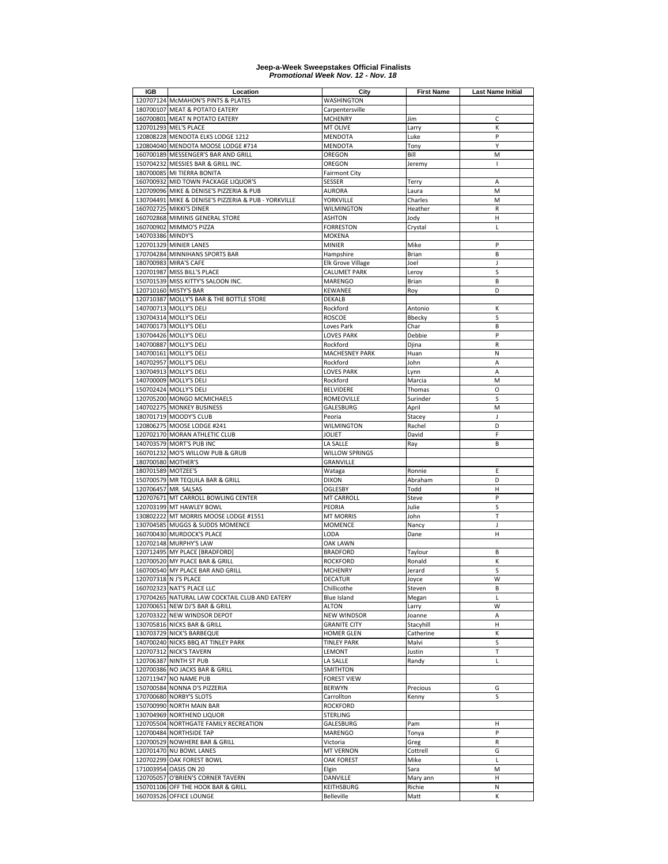| IGB                | Location                                             | City                     | <b>First Name</b> | <b>Last Name Initial</b> |
|--------------------|------------------------------------------------------|--------------------------|-------------------|--------------------------|
|                    | 120707124 McMAHON'S PINTS & PLATES                   | WASHINGTON               |                   |                          |
|                    | 180700107 MEAT & POTATO EATERY                       | Carpentersville          |                   |                          |
|                    | 160700801 MEAT N POTATO EATERY                       | <b>MCHENRY</b>           | Jim               | C                        |
|                    | 120701293 MEL'S PLACE                                | MT OLIVE                 | Larry             | К                        |
|                    | 120808228 MENDOTA ELKS LODGE 1212                    | <b>MENDOTA</b>           | Luke              | P                        |
|                    | 120804040 MENDOTA MOOSE LODGE #714                   | <b>MENDOTA</b>           | Tony              | Y                        |
|                    | 160700189 MESSENGER'S BAR AND GRILL                  | OREGON                   | Bill              | M                        |
|                    | 150704232 MESSIES BAR & GRILL INC.                   | OREGON                   | Jeremy            | $\overline{1}$           |
| 180700085          | MI TIERRA BONITA                                     | <b>Fairmont City</b>     |                   |                          |
|                    | 160700932 MID TOWN PACKAGE LIQUOR'S                  | <b>SESSER</b>            | Terry             | A                        |
|                    | 120709096 MIKE & DENISE'S PIZZERIA & PUB             | <b>AURORA</b>            | Laura             | M                        |
|                    | 130704491 MIKE & DENISE'S PIZZERIA & PUB - YORKVILLE | YORKVILLE                | Charles           | M                        |
|                    |                                                      |                          | Heather           | ${\sf R}$                |
|                    | 160702725 MIKKI'S DINER                              | <b>WILMINGTON</b>        |                   |                          |
|                    | 160702868 MIMINIS GENERAL STORE                      | <b>ASHTON</b>            | Jody              | Η                        |
|                    | 160700902 MIMMO'S PIZZA                              | <b>FORRESTON</b>         | Crystal           | L                        |
| 140703386 MINDY'S  |                                                      | <b>MOKENA</b>            |                   |                          |
|                    | 120701329 MINIER LANES                               | <b>MINIER</b>            | Mike              | P                        |
|                    | 170704284 MINNIHANS SPORTS BAR                       | Hampshire                | Brian             | B                        |
|                    | 180700983 MIRA'S CAFE                                | <b>Elk Grove Village</b> | Joel              | J                        |
|                    | 120701987 MISS BILL'S PLACE                          | <b>CALUMET PARK</b>      | Leroy             | S                        |
|                    | 150701539 MISS KITTY'S SALOON INC.                   | <b>MARENGO</b>           | Brian             | B                        |
|                    | 120710160 MISTY'S BAR                                | KEWANEE                  | Roy               | D                        |
|                    | 120710387 MOLLY'S BAR & THE BOTTLE STORE             | <b>DEKALB</b>            |                   |                          |
|                    | 140700713 MOLLY'S DELI                               | Rockford                 | Antonio           | К                        |
|                    | 130704314 MOLLY'S DELI                               | <b>ROSCOE</b>            | Bbecky            | S                        |
|                    | 140700173 MOLLY'S DELI                               | Loves Park               | Char              | B                        |
|                    | 130704426 MOLLY'S DELI                               | <b>LOVES PARK</b>        | Debbie            | P                        |
|                    | 140700887 MOLLY'S DELI                               | Rockford                 | Djina             | R                        |
|                    | 140700161 MOLLY'S DELI                               | <b>MACHESNEY PARK</b>    | Huan              | N                        |
|                    | 140702957 MOLLY'S DELI                               | Rockford                 | John              | Α                        |
|                    | 130704913 MOLLY'S DELI                               | <b>LOVES PARK</b>        | Lynn              | A                        |
|                    | 140700009 MOLLY'S DELI                               | Rockford                 | Marcia            | M                        |
|                    | 150702424 MOLLY'S DELI                               | <b>BELVIDERE</b>         | Thomas            | O                        |
|                    | 120705200 MONGO MCMICHAELS                           | ROMEOVILLE               | Surinder          | S                        |
|                    | 140702275 MONKEY BUSINESS                            | GALESBURG                | April             | M                        |
|                    | 180701719 MOODY'S CLUB                               | Peoria                   | Stacey            | J                        |
|                    | 120806275 MOOSE LODGE #241                           | <b>WILMINGTON</b>        | Rachel            | D                        |
|                    | 120702170 MORAN ATHLETIC CLUB                        | <b>JOLIET</b>            | David             | F                        |
|                    | 140703579 MORT'S PUB INC                             | LA SALLE                 |                   | B                        |
|                    |                                                      |                          | Ray               |                          |
|                    | 160701232 MO'S WILLOW PUB & GRUB                     | <b>WILLOW SPRINGS</b>    |                   |                          |
| 180700580 MOTHER'S |                                                      | GRANVILLE                |                   |                          |
| 180701589 MOTZEE'S |                                                      | Wataga                   | Ronnie            | E                        |
|                    | 150700579 MR TEQUILA BAR & GRILL                     | <b>DIXON</b>             | Abraham           | D                        |
|                    | 120706457 MR. SALSAS                                 | <b>OGLESBY</b>           | Todd              | н                        |
|                    | 120707671 MT CARROLL BOWLING CENTER                  | MT CARROLL               | Steve             | P                        |
|                    | 120703199 MT HAWLEY BOWL                             | PEORIA                   | Julie             | S                        |
|                    | 130802222 MT MORRIS MOOSE LODGE #1551                | <b>MT MORRIS</b>         | John              | Т                        |
|                    | 130704585 MUGGS & SUDDS MOMENCE                      | <b>MOMENCE</b>           | Nancy             | J                        |
|                    | 160700430 MURDOCK'S PLACE                            | LODA                     | Dane              | $\mathsf{H}$             |
|                    | 120702148 MURPHY'S LAW                               | <b>OAK LAWN</b>          |                   |                          |
|                    | 120712495 MY PLACE [BRADFORD]                        | <b>BRADFORD</b>          | Taylour           | B                        |
|                    | 120700520 MY PLACE BAR & GRILL                       | <b>ROCKFORD</b>          | Ronald            | К                        |
|                    | 160700540 MY PLACE BAR AND GRILL                     | <b>MCHENRY</b>           | Jerard            | S                        |
|                    | 120707318 N J'S PLACE                                | <b>DECATUR</b>           | Joyce             | W                        |
|                    | 160702323 NAT'S PLACE LLC                            | Chillicothe              | Steven            | B                        |
|                    | 170704265 NATURAL LAW COCKTAIL CLUB AND EATERY       | Blue Island              | Megan             | L                        |
|                    | 120700651 NEW DJ'S BAR & GRILL                       | <b>ALTON</b>             | Larry             | W                        |
|                    | 120703322 NEW WINDSOR DEPOT                          | <b>NEW WINDSOR</b>       | Joanne            | A                        |
|                    | 130705816 NICKS BAR & GRILL                          | <b>GRANITE CITY</b>      | Stacyhill         | н                        |
|                    | 130703729 NICK'S BARBEQUE                            | <b>HOMER GLEN</b>        | Catherine         | К                        |
|                    | 140700240 NICKS BBQ AT TINLEY PARK                   | <b>TINLEY PARK</b>       | Malvi             | S                        |
|                    | 120707312 NICK'S TAVERN                              | LEMONT                   | Justin            | $\top$                   |
|                    | 120706387 NINTH ST PUB                               | LA SALLE                 | Randy             | L                        |
|                    | 120700386 NO JACKS BAR & GRILL                       | SMITHTON                 |                   |                          |
|                    | 120711947 NO NAME PUB                                | <b>FOREST VIEW</b>       |                   |                          |
|                    | 150700584 NONNA D'S PIZZERIA                         | <b>BERWYN</b>            | Precious          | G                        |
|                    | 170700680 NORBY'S SLOTS                              | Carrollton               | Kenny             | S                        |
|                    | 150700990 NORTH MAIN BAR                             | <b>ROCKFORD</b>          |                   |                          |
|                    | 130704969 NORTHEND LIQUOR                            | <b>STERLING</b>          |                   |                          |
|                    | 120705504 NORTHGATE FAMILY RECREATION                | GALESBURG                | Pam               | Н                        |
|                    |                                                      |                          |                   | P                        |
|                    | 120700484 NORTHSIDE TAP                              | <b>MARENGO</b>           | Tonya             |                          |
|                    | 120700529 NOWHERE BAR & GRILL                        | Victoria                 | Greg              | R                        |
|                    | 120701470 NU BOWL LANES                              | <b>MT VERNON</b>         | Cottrell          | G                        |
|                    | 120702299 OAK FOREST BOWL                            | <b>OAK FOREST</b>        | Mike              | L                        |
|                    | 171003954 OASIS ON 20                                | Elgin                    | Sara              | M                        |
|                    | 120705057 O'BRIEN'S CORNER TAVERN                    | DANVILLE                 | Mary ann          | н                        |
|                    | 150701106 OFF THE HOOK BAR & GRILL                   | KEITHSBURG               | Richie            | Ν                        |
|                    | 160703526 OFFICE LOUNGE                              | <b>Belleville</b>        | Matt              | К                        |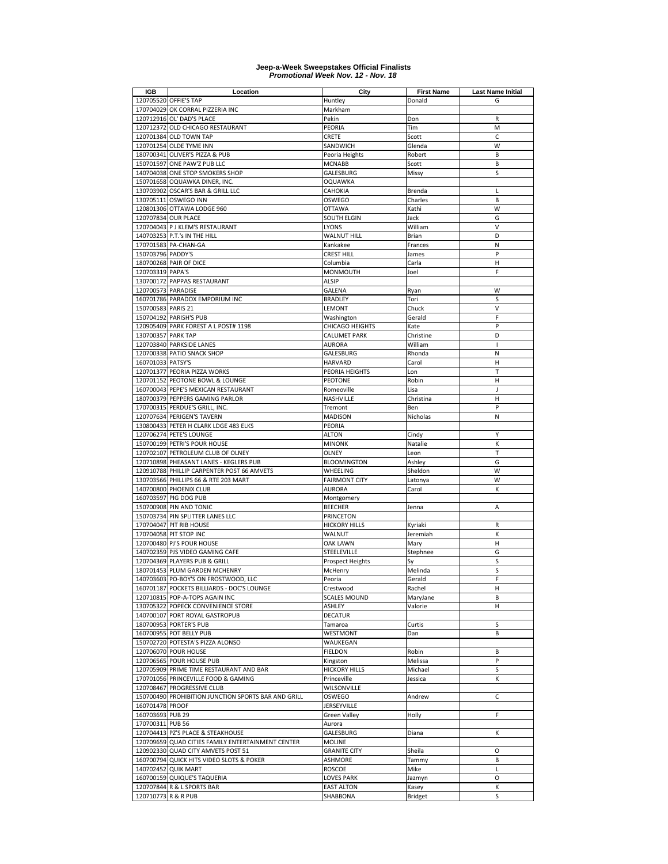| <b>IGB</b>          | Location                                            | City                    | <b>First Name</b> | <b>Last Name Initial</b> |
|---------------------|-----------------------------------------------------|-------------------------|-------------------|--------------------------|
|                     | 120705520 OFFIE'S TAP                               | Huntley                 | Donald            | G                        |
|                     | 170704029 OK CORRAL PIZZERIA INC                    | Markham                 |                   |                          |
|                     | 120712916 OL' DAD'S PLACE                           | Pekin                   | Don               | $\mathsf{R}$             |
|                     | 120712372 OLD CHICAGO RESTAURANT                    | PEORIA                  | Tim               | M                        |
|                     | 120701384 OLD TOWN TAP                              | CRETE                   | Scott             | $\mathsf{C}$             |
|                     | 120701254 OLDE TYME INN                             | SANDWICH                | Glenda            | W                        |
|                     | 180700341 OLIVER'S PIZZA & PUB                      | Peoria Heights          | Robert            | B                        |
|                     | 150701597 ONE PAW'Z PUB LLC                         | <b>MCNABB</b>           | Scott             | B                        |
|                     |                                                     |                         |                   | S                        |
|                     | 140704038 ONE STOP SMOKERS SHOP                     | GALESBURG               | Missy             |                          |
|                     | 150701658 OQUAWKA DINER, INC.                       | <b>OQUAWKA</b>          |                   |                          |
|                     | 130703902 OSCAR'S BAR & GRILL LLC                   | CAHOKIA                 | Brenda            | L                        |
|                     | 130705111 OSWEGO INN                                | OSWEGO                  | Charles           | B                        |
|                     | 120801306 OTTAWA LODGE 960                          | <b>OTTAWA</b>           | Kathi             | W                        |
|                     | 120707834 OUR PLACE                                 | SOUTH ELGIN             | Jack              | G                        |
|                     | 120704043 P J KLEM'S RESTAURANT                     | LYONS                   | William           | $\vee$                   |
|                     | 140703253 P.T.'s IN THE HILL                        | WALNUT HILL             | Brian             | D                        |
|                     | 170701583 PA-CHAN-GA                                | Kankakee                | Frances           | N                        |
| 150703796 PADDY'S   |                                                     | CREST HILL              | James             | P                        |
|                     | 180700268 PAIR OF DICE                              | Columbia                | Carla             | Н                        |
| 120703319 PAPA'S    |                                                     | <b>MONMOUTH</b>         | Joel              | F                        |
|                     | 130700172 PAPPAS RESTAURANT                         | <b>ALSIP</b>            |                   |                          |
| 120700573 PARADISE  |                                                     | GALENA                  | Ryan              | W                        |
|                     | 160701786 PARADOX EMPORIUM INC                      | <b>BRADLEY</b>          | Tori              | S                        |
| 150700583 PARIS 21  |                                                     | LEMONT                  | Chuck             | $\vee$                   |
|                     | 150704192 PARISH'S PUB                              | Washington              | Gerald            | F                        |
|                     | 120905409 PARK FOREST A L POST# 1198                | CHICAGO HEIGHTS         | Kate              | P                        |
| 130700357 PARK TAP  |                                                     | CALUMET PARK            | Christine         | D                        |
|                     | 120703840 PARKSIDE LANES                            | <b>AURORA</b>           | William           | $\overline{1}$           |
|                     | 120700338 PATIO SNACK SHOP                          | GALESBURG               | Rhonda            | N                        |
| 160701033 PATSY'S   |                                                     | HARVARD                 | Carol             | Η                        |
|                     | 120701377 PEORIA PIZZA WORKS                        | PEORIA HEIGHTS          | Lon               | $\top$                   |
|                     | 120701152 PEOTONE BOWL & LOUNGE                     | PEOTONE                 | Robin             | н                        |
|                     | 160700043 PEPE'S MEXICAN RESTAURANT                 |                         |                   |                          |
|                     |                                                     | Romeoville              | Lisa              | J                        |
|                     | 180700379 PEPPERS GAMING PARLOR                     | NASHVILLE               | Christina         | Н                        |
|                     | 170700315 PERDUE'S GRILL, INC.                      | Tremont                 | Ben               | P                        |
|                     | 120707634 PERIGEN'S TAVERN                          | <b>MADISON</b>          | Nicholas          | N                        |
|                     | 130800433 PETER H CLARK LDGE 483 ELKS               | PEORIA                  |                   |                          |
|                     | 120706274 PETE'S LOUNGE                             | <b>ALTON</b>            | Cindy             | Y                        |
|                     | 150700199 PETRI'S POUR HOUSE                        | <b>MINONK</b>           | Natalie           | К                        |
|                     | 120702107 PETROLEUM CLUB OF OLNEY                   | OLNEY                   | Leon              | T                        |
|                     | 120710898 PHEASANT LANES - KEGLERS PUB              | <b>BLOOMINGTON</b>      | Ashley            | G                        |
|                     | 120910788 PHILLIP CARPENTER POST 66 AMVETS          | WHEELING                | Sheldon           | W                        |
|                     | 130703566 PHILLIPS 66 & RTE 203 MART                | <b>FAIRMONT CITY</b>    | Latonya           | W                        |
|                     | 140700800 PHOENIX CLUB                              | <b>AURORA</b>           | Carol             | К                        |
|                     | 160703597 PIG DOG PUB                               | Montgomery              |                   |                          |
|                     | 150700908 PIN AND TONIC                             | <b>BEECHER</b>          | Jenna             | A                        |
|                     | 150703734 PIN SPLITTER LANES LLC                    | PRINCETON               |                   |                          |
|                     | 170704047 PIT RIB HOUSE                             | <b>HICKORY HILLS</b>    | Kyriaki           | $\mathsf R$              |
|                     | 170704058 PIT STOP INC                              | WALNUT                  | Jeremiah          | К                        |
|                     | 120700480 PJ'S POUR HOUSE                           | <b>OAK LAWN</b>         | Mary              | Н                        |
|                     | 140702359 PJS VIDEO GAMING CAFE                     | STEELEVILLE             | Stephnee          | G                        |
|                     | 120704369 PLAYERS PUB & GRILL                       | <b>Prospect Heights</b> | Sy                | S                        |
|                     | 180701453 PLUM GARDEN MCHENRY                       | McHenry                 | Melinda           | S                        |
|                     | 140703603 PO-BOY'S ON FROSTWOOD, LLC                | Peoria                  | Gerald            | F                        |
|                     | 160701187 POCKETS BILLIARDS - DOC'S LOUNGE          | Crestwood               | Rachel            | н                        |
|                     | 120710815 POP-A-TOPS AGAIN INC                      | <b>SCALES MOUND</b>     | MaryJane          | В                        |
|                     |                                                     |                         | Valorie           | н                        |
|                     | 130705322 POPECK CONVENIENCE STORE                  | ASHLEY                  |                   |                          |
|                     | 140700107 PORT ROYAL GASTROPUB                      | <b>DECATUR</b>          |                   |                          |
|                     | 180700953 PORTER'S PUB                              | Tamaroa                 | Curtis            | S                        |
|                     | 160700955 POT BELLY PUB                             | WESTMONT                | Dan               | В                        |
|                     | 150702720 POTESTA'S PIZZA ALONSO                    | WAUKEGAN                |                   |                          |
|                     | 120706070 POUR HOUSE                                | <b>FIELDON</b>          | Robin             | В                        |
|                     | 120706565 POUR HOUSE PUB                            | Kingston                | Melissa           | P                        |
|                     | 120705909 PRIME TIME RESTAURANT AND BAR             | <b>HICKORY HILLS</b>    | Michael           | s                        |
|                     | 170701056 PRINCEVILLE FOOD & GAMING                 | Princeville             | Jessica           | К                        |
|                     | 120708467 PROGRESSIVE CLUB                          | WILSONVILLE             |                   |                          |
|                     | 150700490 PROHIBITION JUNCTION SPORTS BAR AND GRILL | OSWEGO                  | Andrew            | C                        |
| 160701478 PROOF     |                                                     | JERSEYVILLE             |                   |                          |
| 160703693 PUB 29    |                                                     | <b>Green Valley</b>     | Holly             | F                        |
| 170700311 PUB 56    |                                                     | Aurora                  |                   |                          |
|                     | 120704413 PZ'S PLACE & STEAKHOUSE                   | GALESBURG               | Diana             | К                        |
|                     | 120709659 QUAD CITIES FAMILY ENTERTAINMENT CENTER   | MOLINE                  |                   |                          |
|                     | 120902330 QUAD CITY AMVETS POST 51                  | <b>GRANITE CITY</b>     | Sheila            | O                        |
|                     | 160700794 QUICK HITS VIDEO SLOTS & POKER            | <b>ASHMORE</b>          | Tammy             | В                        |
|                     | 140702452 QUIK MART                                 | <b>ROSCOE</b>           | Mike              | L                        |
|                     |                                                     |                         |                   | O                        |
|                     | 160700159 QUIQUE'S TAQUERIA                         | LOVES PARK              | Jazmyn            |                          |
|                     | 120707844 R & L SPORTS BAR                          | <b>EAST ALTON</b>       | Kasey             | к                        |
| 120710773 R & R PUB |                                                     | SHABBONA                | <b>Bridget</b>    | S                        |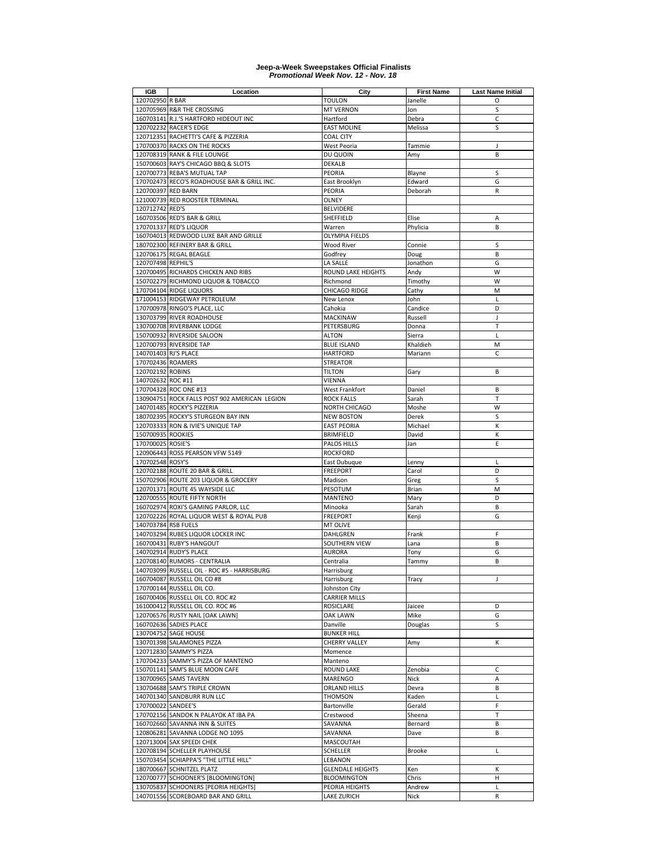| <b>IGB</b>           | Location                                      | City                    | <b>First Name</b> | <b>Last Name Initial</b> |
|----------------------|-----------------------------------------------|-------------------------|-------------------|--------------------------|
| 120702950 R BAR      |                                               | <b>TOULON</b>           | Janelle           | O                        |
|                      | 120705969 R&R THE CROSSING                    | <b>MT VERNON</b>        | Jon               | S                        |
|                      | 160703141 R.J.'S HARTFORD HIDEOUT INC         | Hartford                | Debra             | C                        |
|                      | 120702232 RACER'S EDGE                        | <b>EAST MOLINE</b>      | Melissa           | S                        |
|                      | 120712351 RACHETTI'S CAFE & PIZZERIA          | <b>COAL CITY</b>        |                   |                          |
|                      | 170700370 RACKS ON THE ROCKS                  | <b>West Peoria</b>      | Tammie            | J                        |
|                      |                                               |                         |                   | B                        |
|                      | 120708319 RANK & FILE LOUNGE                  | DU QUOIN                | Amy               |                          |
|                      | 150700603 RAY'S CHICAGO BBQ & SLOTS           | DEKALB                  |                   |                          |
|                      | 120700773 REBA'S MUTUAL TAP                   | PEORIA                  | Blayne            | S                        |
|                      | 170702473 RECO'S ROADHOUSE BAR & GRILL INC.   | East Brooklyn           | Edward            | G                        |
| 120700397 RED BARN   |                                               | <b>PEORIA</b>           | Deborah           | $\mathsf{R}$             |
|                      | 121000739 RED ROOSTER TERMINAL                | OLNEY                   |                   |                          |
| 120712742 RED'S      |                                               | <b>BELVIDERE</b>        |                   |                          |
|                      | 160703506 RED'S BAR & GRILL                   | SHEFFIELD               | Elise             | A                        |
|                      | 170701337 RED'S LIQUOR                        | Warren                  | Phylicia          | B                        |
|                      | 160704013 REDWOOD LUXE BAR AND GRILLE         | <b>OLYMPIA FIELDS</b>   |                   |                          |
|                      | 180702300 REFINERY BAR & GRILL                | <b>Wood River</b>       | Connie            | S                        |
|                      | 120706175 REGAL BEAGLE                        | Godfrey                 | Doug              | B                        |
| 120707498 REPHIL'S   |                                               | <b>LA SALLE</b>         | Jonathon          | G                        |
|                      | 120700495 RICHARDS CHICKEN AND RIBS           | ROUND LAKE HEIGHTS      | Andy              | W                        |
|                      |                                               |                         |                   |                          |
|                      | 150702279 RICHMOND LIQUOR & TOBACCO           | Richmond                | Timothy           | W                        |
|                      | 170704104 RIDGE LIQUORS                       | CHICAGO RIDGE           | Cathy             | M                        |
|                      | 171004153 RIDGEWAY PETROLEUM                  | New Lenox               | John              | L                        |
|                      | 170700978 RINGO'S PLACE, LLC                  | Cahokia                 | Candice           | D                        |
|                      | 130703799 RIVER ROADHOUSE                     | <b>MACKINAW</b>         | Russell           | $\overline{1}$           |
|                      | 130700708 RIVERBANK LODGE                     | PETERSBURG              | Donna             | Т                        |
|                      | 150700932 RIVERSIDE SALOON                    | <b>ALTON</b>            | Sierra            | L                        |
|                      | 120700793 RIVERSIDE TAP                       | <b>BLUE ISLAND</b>      | Khaldieh          | M                        |
| 140701403 RJ'S PLACE |                                               | <b>HARTFORD</b>         | Mariann           | C                        |
| 170702436 ROAMERS    |                                               | <b>STREATOR</b>         |                   |                          |
| 120702192 ROBINS     |                                               | <b>TILTON</b>           | Gary              | B                        |
| 140702632 ROC #11    |                                               | <b>VIENNA</b>           |                   |                          |
|                      | 170704328 ROC ONE #13                         |                         | Daniel            | B                        |
|                      |                                               | <b>West Frankfort</b>   |                   |                          |
|                      | 130904751 ROCK FALLS POST 902 AMERICAN LEGION | <b>ROCK FALLS</b>       | Sarah             | T                        |
|                      | 140701485 ROCKY'S PIZZERIA                    | <b>NORTH CHICAGO</b>    | Moshe             | W                        |
|                      | 180702395 ROCKY'S STURGEON BAY INN            | <b>NEW BOSTON</b>       | Derek             | S                        |
|                      | 120703333 RON & IVIE'S UNIQUE TAP             | <b>EAST PEORIA</b>      | Michael           | К                        |
| 150700935 ROOKIES    |                                               | <b>BRIMFIELD</b>        | David             | К                        |
| 170700025 ROSIE'S    |                                               | PALOS HILLS             | Jan               | E                        |
|                      | 120906443 ROSS PEARSON VFW 5149               | <b>ROCKFORD</b>         |                   |                          |
| 170702548 ROSY'S     |                                               | East Dubuque            | Lenny             | L                        |
|                      | 120702188 ROUTE 20 BAR & GRILL                | <b>FREEPORT</b>         | Carol             | D                        |
|                      | 150702906 ROUTE 203 LIQUOR & GROCERY          | Madison                 | Greg              | S                        |
|                      | 120701371 ROUTE 45 WAYSIDE LLC                | PESOTUM                 | Brian             | M                        |
|                      | 120700555 ROUTE FIFTY NORTH                   | <b>MANTENO</b>          | Mary              | D                        |
|                      |                                               |                         |                   |                          |
|                      | 160702974 ROXI'S GAMING PARLOR, LLC           | Minooka                 | Sarah             | B                        |
|                      | 120702226 ROYAL LIQUOR WEST & ROYAL PUB       | <b>FREEPORT</b>         | Kenji             | G                        |
| 140703784 RSB FUELS  |                                               | MT OLIVE                |                   |                          |
|                      | 140703294 RUBES LIQUOR LOCKER INC             | DAHLGREN                | Frank             | F                        |
|                      | 160700431 RUBY'S HANGOUT                      | SOUTHERN VIEW           | Lana              | B                        |
|                      | 140702914 RUDY'S PLACE                        | <b>AURORA</b>           | Tony              | G                        |
|                      | 120708140 RUMORS - CENTRALIA                  | Centralia               | Tammy             | B                        |
|                      | 140703099 RUSSELL OIL - ROC #5 - HARRISBURG   | Harrisburg              |                   |                          |
|                      | 160704087 RUSSELL OIL CO #8                   | Harrisburg              | Tracy             | J                        |
|                      | 170700144 RUSSELL OIL CO.                     | Johnston City           |                   |                          |
|                      | 160700406 RUSSELL OIL CO. ROC #2              | <b>CARRIER MILLS</b>    |                   |                          |
|                      | 161000412 RUSSELL OIL CO. ROC #6              | <b>ROSICLARE</b>        | Jaicee            | D                        |
|                      | 120706576 RUSTY NAIL [OAK LAWN]               | <b>OAK LAWN</b>         | Mike              | G                        |
|                      |                                               |                         |                   | S                        |
|                      | 160702636 SADIES PLACE                        | Danville                | Douglas           |                          |
|                      | 130704752 SAGE HOUSE                          | <b>BUNKER HILL</b>      |                   |                          |
|                      | 130701398 SALAMONES PIZZA                     | <b>CHERRY VALLEY</b>    | Amy               | К                        |
|                      | 120712830 SAMMY'S PIZZA                       | Momence                 |                   |                          |
|                      | 170704233 SAMMY'S PIZZA OF MANTENO            | Manteno                 |                   |                          |
|                      | 150701141 SAM'S BLUE MOON CAFE                | <b>ROUND LAKE</b>       | Zenobia           | C                        |
|                      | 130700965 SAMS TAVERN                         | <b>MARENGO</b>          | Nick              | Α                        |
|                      | 130704688 SAM'S TRIPLE CROWN                  | ORLAND HILLS            | Devra             | В                        |
|                      | 140701340 SANDBURR RUN LLC                    | <b>THOMSON</b>          | Kaden             | L                        |
| 170700022 SANDEE'S   |                                               | Bartonville             | Gerald            | F                        |
|                      | 170702156 SANDOK N PALAYOK AT IBA PA          | Crestwood               | Sheena            | т                        |
|                      | 160702660 SAVANNA INN & SUITES                | SAVANNA                 | Bernard           | В                        |
|                      |                                               |                         |                   |                          |
|                      | 120806281 SAVANNA LODGE NO 1095               | SAVANNA                 | Dave              | В                        |
|                      | 120713004 SAX SPEEDI CHEK                     | MASCOUTAH               |                   |                          |
|                      | 120708194 SCHELLER PLAYHOUSE                  | <b>SCHELLER</b>         | Brooke            | Г                        |
|                      | 150703454 SCHIAPPA'S "THE LITTLE HILL"        | LEBANON                 |                   |                          |
|                      | 180700667 SCHNITZEL PLATZ                     | <b>GLENDALE HEIGHTS</b> | Ken               | К                        |
|                      | 120700777 SCHOONER'S [BLOOMINGTON]            | <b>BLOOMINGTON</b>      | Chris             | н                        |
|                      | 130705837 SCHOONERS [PEORIA HEIGHTS]          | PEORIA HEIGHTS          | Andrew            | Г                        |
|                      | 140701556 SCOREBOARD BAR AND GRILL            | <b>LAKE ZURICH</b>      | Nick              | R                        |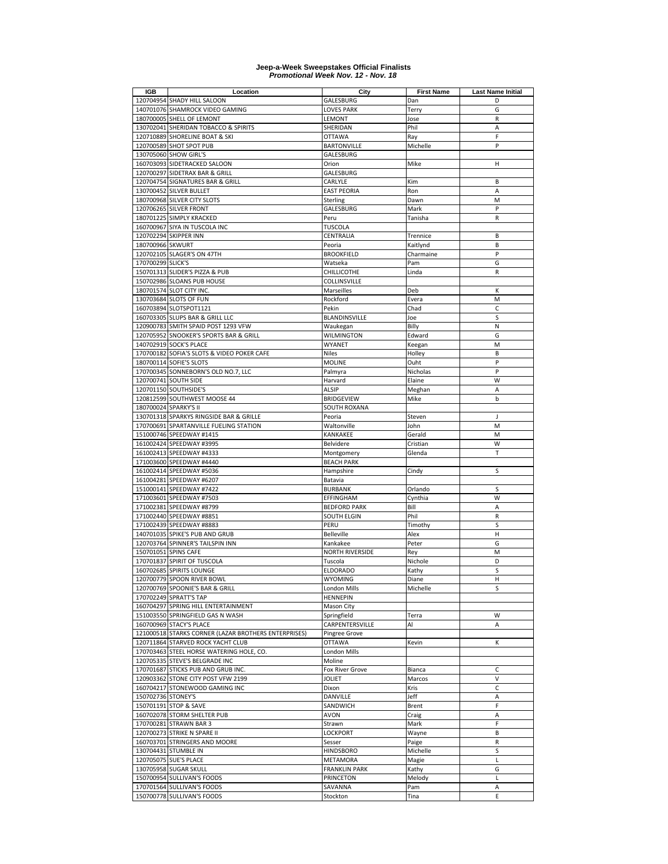| IGB                   | Location                                             | City                   | <b>First Name</b> | <b>Last Name Initial</b> |
|-----------------------|------------------------------------------------------|------------------------|-------------------|--------------------------|
|                       | 120704954 SHADY HILL SALOON                          | GALESBURG              | Dan               | D                        |
|                       | 140701076 SHAMROCK VIDEO GAMING                      | <b>LOVES PARK</b>      | Terry             | G                        |
|                       | 180700005 SHELL OF LEMONT                            | LEMONT                 | Jose              | $\mathsf R$              |
|                       | 130702041 SHERIDAN TOBACCO & SPIRITS                 | SHERIDAN               | Phil              | A                        |
|                       | 120710889 SHORELINE BOAT & SKI                       | <b>OTTAWA</b>          | Ray               | F                        |
|                       | 120700589 SHOT SPOT PUB                              | <b>BARTONVILLE</b>     | Michelle          | P                        |
|                       | 130705060 SHOW GIRL'S                                | GALESBURG              |                   |                          |
|                       |                                                      |                        |                   |                          |
|                       | 160703093 SIDETRACKED SALOON                         | Orion                  | Mike              | Н                        |
|                       | 120700297 SIDETRAX BAR & GRILL                       | GALESBURG              |                   |                          |
|                       | 120704754 SIGNATURES BAR & GRILL                     | CARLYLE                | Kim               | B                        |
|                       | 130700452 SILVER BULLET                              | <b>EAST PEORIA</b>     | Ron               | Α                        |
|                       | 180700968 SILVER CITY SLOTS                          | Sterling               | Dawn              | M                        |
|                       | 120706265 SILVER FRONT                               | GALESBURG              | Mark              | P                        |
|                       | 180701225 SIMPLY KRACKED                             | Peru                   | Tanisha           | R                        |
|                       | 160700967 SIYA IN TUSCOLA INC                        | <b>TUSCOLA</b>         |                   |                          |
|                       | 120702294 SKIPPER INN                                | CENTRALIA              | Trennice          | B                        |
| 180700966 SKWURT      |                                                      |                        | Kaitlynd          | B                        |
|                       |                                                      | Peoria                 |                   |                          |
|                       | 120702105 SLAGER'S ON 47TH                           | <b>BROOKFIELD</b>      | Charmaine         | P                        |
| 170700299 SLICK'S     |                                                      | Watseka                | Pam               | G                        |
|                       | 150701313 SLIDER'S PIZZA & PUB                       | CHILLICOTHE            | Linda             | ${\sf R}$                |
|                       | 150702986 SLOANS PUB HOUSE                           | COLLINSVILLE           |                   |                          |
|                       | 180701574 SLOT CITY INC.                             | Marseilles             | Deb               | К                        |
|                       | 130703684 SLOTS OF FUN                               | Rockford               | Evera             | M                        |
|                       | 160703894 SLOTSPOT1121                               | Pekin                  | Chad              | C                        |
|                       | 160703305 SLUPS BAR & GRILL LLC                      | BLANDINSVILLE          | Joe               | S                        |
|                       | 120900783 SMITH SPAID POST 1293 VFW                  | Waukegan               | Billy             | N                        |
|                       | 120705952 SNOOKER'S SPORTS BAR & GRILL               | <b>WILMINGTON</b>      | Edward            | G                        |
|                       | 140702919 SOCK'S PLACE                               | WYANET                 | Keegan            | M                        |
|                       |                                                      |                        |                   | B                        |
|                       | 170700182 SOFIA'S SLOTS & VIDEO POKER CAFE           | <b>Niles</b>           | Holley            |                          |
|                       | 180700114 SOFIE'S SLOTS                              | <b>MOLINE</b>          | Ouht              | P                        |
|                       | 170700345 SONNEBORN'S OLD NO.7, LLC                  | Palmyra                | Nicholas          | P                        |
|                       | 120700741 SOUTH SIDE                                 | Harvard                | Elaine            | W                        |
|                       | 120701150 SOUTHSIDE'S                                | <b>ALSIP</b>           | Meghan            | A                        |
|                       | 120812599 SOUTHWEST MOOSE 44                         | <b>BRIDGEVIEW</b>      | Mike              | b                        |
| 180700024 SPARKY'S II |                                                      | SOUTH ROXANA           |                   |                          |
|                       | 130701318 SPARKYS RINGSIDE BAR & GRILLE              | Peoria                 | Steven            | J                        |
|                       | 170700691 SPARTANVILLE FUELING STATION               | Waltonville            | John              | M                        |
|                       | 151000746 SPEEDWAY #1415                             | KANKAKEE               | Gerald            | M                        |
|                       | 161002424 SPEEDWAY #3995                             | Belvidere              |                   | W                        |
|                       |                                                      |                        | Cristian          |                          |
|                       | 161002413 SPEEDWAY #4333                             | Montgomery             | Glenda            | Т                        |
|                       | 171003600 SPEEDWAY #4440                             | <b>BEACH PARK</b>      |                   |                          |
|                       | 161002414 SPEEDWAY #5036                             | Hampshire              | Cindy             | S                        |
|                       | 161004281 SPEEDWAY #6207                             | Batavia                |                   |                          |
|                       | 151000141 SPEEDWAY #7422                             | <b>BURBANK</b>         | Orlando           | S                        |
|                       | 171003601 SPEEDWAY #7503                             | EFFINGHAM              | Cynthia           | W                        |
|                       | 171002381 SPEEDWAY #8799                             | <b>BEDFORD PARK</b>    | Bill              | A                        |
|                       | 171002440 SPEEDWAY #8851                             | <b>SOUTH ELGIN</b>     | Phil              | ${\sf R}$                |
|                       | 171002439 SPEEDWAY #8883                             | PERU                   | Timothy           | S                        |
|                       | 140701035 SPIKE'S PUB AND GRUB                       | <b>Belleville</b>      | Alex              | H                        |
|                       | 120703764 SPINNER'S TAILSPIN INN                     | Kankakee               | Peter             | G                        |
| 150701051 SPINS CAFE  |                                                      | <b>NORTH RIVERSIDE</b> | Rey               | M                        |
|                       |                                                      |                        |                   | D                        |
|                       | 170701837 SPIRIT OF TUSCOLA                          | Tuscola                | Nichole           |                          |
|                       | 160702685 SPIRITS LOUNGE                             | <b>ELDORADO</b>        | Kathy             | S                        |
|                       | 120700779 SPOON RIVER BOWL                           | WYOMING                | Diane             | н                        |
|                       | 120700769 SPOONIE'S BAR & GRILL                      | <b>London Mills</b>    | Michelle          | S                        |
|                       | 170702249 SPRATT'S TAP                               | <b>HENNEPIN</b>        |                   |                          |
|                       | 160704297 SPRING HILL ENTERTAINMENT                  | Mason City             |                   |                          |
|                       | 151003550 SPRINGFIELD GAS N WASH                     | Springfield            | Terra             | W                        |
|                       | 160700969 STACY'S PLACE                              | CARPENTERSVILLE        | Al                | Α                        |
|                       | 121000518 STARKS CORNER (LAZAR BROTHERS ENTERPRISES) | Pingree Grove          |                   |                          |
|                       | 120711864 STARVED ROCK YACHT CLUB                    | <b>OTTAWA</b>          | Kevin             | К                        |
|                       | 170703463 STEEL HORSE WATERING HOLE, CO.             | <b>London Mills</b>    |                   |                          |
|                       | 120705335 STEVE'S BELGRADE INC                       | Moline                 |                   |                          |
|                       | 170701687 STICKS PUB AND GRUB INC.                   | Fox River Grove        | Bianca            | с                        |
|                       |                                                      |                        |                   |                          |
|                       | 120903362 STONE CITY POST VFW 2199                   | <b>JOLIET</b>          | Marcos            | $\vee$                   |
|                       | 160704217 STONEWOOD GAMING INC                       | Dixon                  | Kris              | C                        |
| 150702736 STONEY'S    |                                                      | DANVILLE               | Jeff              | A                        |
|                       | 150701191 STOP & SAVE                                | SANDWICH               | Brent             | F                        |
|                       | 160702078 STORM SHELTER PUB                          | AVON                   | Craig             | Α                        |
|                       | 170700281 STRAWN BAR 3                               | Strawn                 | Mark              | F                        |
|                       | 120700273 STRIKE N SPARE II                          | LOCKPORT               | Wayne             | B                        |
|                       | 160703701 STRINGERS AND MOORE                        | Sesser                 | Paige             | $\mathsf R$              |
|                       | 130704431 STUMBLE IN                                 | <b>HINDSBORO</b>       | Michelle          | S                        |
|                       | 120705075 SUE'S PLACE                                | <b>METAMORA</b>        | Magie             | L                        |
|                       | 130705958 SUGAR SKULL                                | <b>FRANKLIN PARK</b>   | Kathy             | G                        |
|                       |                                                      |                        |                   | L                        |
|                       | 150700954 SULLIVAN'S FOODS                           | <b>PRINCETON</b>       | Melody            |                          |
|                       | 170701564 SULLIVAN'S FOODS                           | SAVANNA                | Pam               | Α                        |
|                       | 150700778 SULLIVAN'S FOODS                           | Stockton               | Tina              | E                        |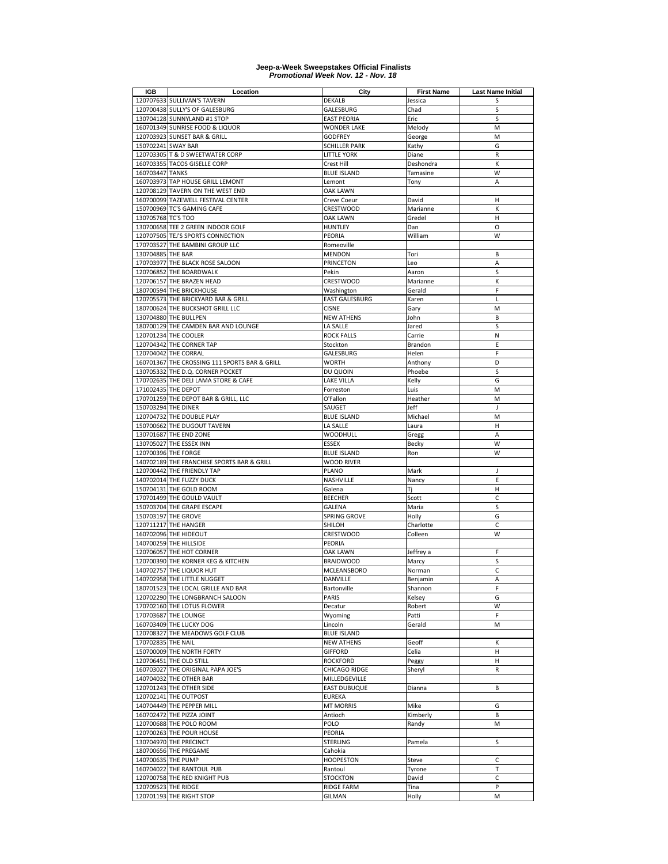| IGB                 | Location                                      | City                  | <b>First Name</b> | <b>Last Name Initial</b> |
|---------------------|-----------------------------------------------|-----------------------|-------------------|--------------------------|
|                     | 120707633 SULLIVAN'S TAVERN                   | <b>DEKALB</b>         | Jessica           | S                        |
|                     | 120700438 SULLY'S OF GALESBURG                | GALESBURG             | Chad              | S                        |
|                     | 130704128 SUNNYLAND #1 STOP                   | <b>EAST PEORIA</b>    | Eric              | S                        |
|                     | 160701349 SUNRISE FOOD & LIQUOR               | <b>WONDER LAKE</b>    | Melody            | M                        |
|                     |                                               |                       |                   | M                        |
|                     | 120703923 SUNSET BAR & GRILL                  | <b>GODFREY</b>        | George            |                          |
| 150702241 SWAY BAR  |                                               | <b>SCHILLER PARK</b>  | Kathy             | G                        |
|                     | 120703305 T & D SWEETWATER CORP               | <b>LITTLE YORK</b>    | Diane             | R                        |
|                     | 160703355 TACOS GISELLE CORP                  | Crest Hill            | Deshondra         | К                        |
| 160703447 TANKS     |                                               | <b>BLUE ISLAND</b>    | Tamasine          | W                        |
|                     | 160703973 TAP HOUSE GRILL LEMONT              | Lemont                | Tony              | A                        |
| 120708129           | TAVERN ON THE WEST END                        | <b>OAK LAWN</b>       |                   |                          |
|                     | 160700099 TAZEWELL FESTIVAL CENTER            | Creve Coeur           | David             | Η                        |
|                     |                                               |                       |                   |                          |
|                     | 150700969 TC'S GAMING CAFE                    | CRESTWOOD             | Marianne          | К                        |
| 130705768 TC'S TOO  |                                               | OAK LAWN              | Gredel            | Н                        |
|                     | 130700658 TEE 2 GREEN INDOOR GOLF             | <b>HUNTLEY</b>        | Dan               | O                        |
|                     | 120707505 TEJ'S SPORTS CONNECTION             | PEORIA                | William           | W                        |
|                     | 170703527 THE BAMBINI GROUP LLC               | Romeoville            |                   |                          |
| 130704885 THE BAR   |                                               | <b>MENDON</b>         | Tori              | В                        |
|                     | 170703977 THE BLACK ROSE SALOON               | <b>PRINCETON</b>      | Leo               | A                        |
|                     | 120706852 THE BOARDWALK                       | Pekin                 | Aaron             | S                        |
|                     |                                               |                       |                   | K                        |
|                     | 120706157 THE BRAZEN HEAD                     | CRESTWOOD             | Marianne          |                          |
|                     | 180700594 THE BRICKHOUSE                      | Washington            | Gerald            | F                        |
|                     | 120705573 THE BRICKYARD BAR & GRILL           | <b>EAST GALESBURG</b> | Karen             | $\mathbf{L}$             |
|                     | 180700624 THE BUCKSHOT GRILL LLC              | <b>CISNE</b>          | Gary              | M                        |
|                     | 130704880 THE BULLPEN                         | <b>NEW ATHENS</b>     | John              | B                        |
|                     | 180700129 THE CAMDEN BAR AND LOUNGE           | LA SALLE              | Jared             | S                        |
|                     | 120701234 THE COOLER                          | <b>ROCK FALLS</b>     | Carrie            | N                        |
|                     | 120704342 THE CORNER TAP                      | Stockton              | Brandon           | E                        |
|                     | 120704042 THE CORRAL                          |                       |                   |                          |
|                     |                                               | GALESBURG             | Helen             | F                        |
|                     | 160701367 THE CROSSING 111 SPORTS BAR & GRILL | <b>WORTH</b>          | Anthony           | D                        |
|                     | 130705332 THE D.Q. CORNER POCKET              | DU QUOIN              | Phoebe            | S                        |
|                     | 170702635 THE DELI LAMA STORE & CAFE          | LAKE VILLA            | Kelly             | G                        |
| 171002435 THE DEPOT |                                               | Forreston             | Luis              | M                        |
|                     | 170701259 THE DEPOT BAR & GRILL, LLC          | O'Fallon              | Heather           | M                        |
| 150703294 THE DINER |                                               | SAUGET                | Jeff              | J                        |
|                     | 120704732 THE DOUBLE PLAY                     | <b>BLUE ISLAND</b>    | Michael           | M                        |
|                     |                                               |                       |                   |                          |
|                     | 150700662 THE DUGOUT TAVERN                   | LA SALLE              | Laura             | Η                        |
|                     | 130701687 THE END ZONE                        | WOODHULL              | Gregg             | A                        |
|                     | 130705027 THE ESSEX INN                       | <b>ESSEX</b>          | Becky             | W                        |
| 120700396 THE FORGE |                                               | <b>BLUE ISLAND</b>    | Ron               | W                        |
|                     | 140702189 THE FRANCHISE SPORTS BAR & GRILL    | <b>WOOD RIVER</b>     |                   |                          |
|                     | 120700442 THE FRIENDLY TAP                    | PLANO                 | Mark              | J                        |
|                     | 140702014 THE FUZZY DUCK                      | NASHVILLE             | Nancy             | E                        |
|                     | 150704131 THE GOLD ROOM                       | Galena                | Tj                | Η                        |
|                     | 170701499 THE GOULD VAULT                     | <b>BEECHER</b>        | Scott             | C                        |
|                     |                                               |                       |                   |                          |
|                     | 150703704 THE GRAPE ESCAPE                    | <b>GALENA</b>         | Maria             | S                        |
| 150703197 THE GROVE |                                               | SPRING GROVE          | Holly             | G                        |
|                     | 120711217 THE HANGER                          | SHILOH                | Charlotte         | C                        |
|                     | 160702096 THE HIDEOUT                         | CRESTWOOD             | Colleen           | W                        |
|                     | 140700259 THE HILLSIDE                        | PEORIA                |                   |                          |
|                     | 120706057 THE HOT CORNER                      | <b>OAK LAWN</b>       | Jeffrey a         | F                        |
|                     | 120700390 THE KORNER KEG & KITCHEN            | <b>BRAIDWOOD</b>      | Marcy             | S                        |
|                     | 140702757 THE LIQUOR HUT                      |                       | Norman            | C                        |
|                     |                                               | MCLEANSBORO           |                   |                          |
|                     | 140702958 THE LITTLE NUGGET                   | DANVILLE              | Benjamin          | Α                        |
|                     | 180701523 THE LOCAL GRILLE AND BAR            | Bartonville           | Shannon           | F                        |
|                     | 120702290 THE LONGBRANCH SALOON               | PARIS                 | Kelsey            | G                        |
|                     | 170702160 THE LOTUS FLOWER                    | Decatur               | Robert            | W                        |
|                     | 170703687 THE LOUNGE                          | Wyoming               | Patti             | F                        |
|                     | 160703409 THE LUCKY DOG                       | Lincoln               | Gerald            | M                        |
|                     | 120708327 THE MEADOWS GOLF CLUB               | <b>BLUE ISLAND</b>    |                   |                          |
| 170702835 THE NAIL  |                                               |                       |                   | К                        |
|                     |                                               | <b>NEW ATHENS</b>     | Geoff             |                          |
|                     | 150700009 THE NORTH FORTY                     | <b>GIFFORD</b>        | Celia             | н                        |
|                     | 120706451 THE OLD STILL                       | <b>ROCKFORD</b>       | Peggy             | н                        |
|                     | 160703027 THE ORIGINAL PAPA JOE'S             | CHICAGO RIDGE         | Sheryl            | R                        |
|                     | 140704032 THE OTHER BAR                       | MILLEDGEVILLE         |                   |                          |
|                     | 120701243 THE OTHER SIDE                      | <b>EAST DUBUQUE</b>   | Dianna            | В                        |
|                     | 120702141 THE OUTPOST                         | <b>EUREKA</b>         |                   |                          |
|                     | 140704449 THE PEPPER MILL                     | <b>MT MORRIS</b>      | Mike              | G                        |
|                     | 160702472 THE PIZZA JOINT                     | Antioch               | Kimberly          | B                        |
|                     |                                               |                       |                   |                          |
|                     | 120700688 THE POLO ROOM                       | POLO                  | Randy             | M                        |
|                     | 120700263 THE POUR HOUSE                      | PEORIA                |                   |                          |
|                     | 130704970 THE PRECINCT                        | <b>STERLING</b>       | Pamela            | S                        |
|                     | 180700656 THE PREGAME                         | Cahokia               |                   |                          |
| 140700635 THE PUMP  |                                               | <b>HOOPESTON</b>      | Steve             | C                        |
|                     | 160704022 THE RANTOUL PUB                     | Rantoul               | Tyrone            | $\top$                   |
|                     | 120700758 THE RED KNIGHT PUB                  | <b>STOCKTON</b>       | David             | C                        |
| 120709523 THE RIDGE |                                               | <b>RIDGE FARM</b>     | Tina              | P                        |
|                     |                                               |                       |                   |                          |
|                     | 120701193 THE RIGHT STOP                      | <b>GILMAN</b>         | Holly             | M                        |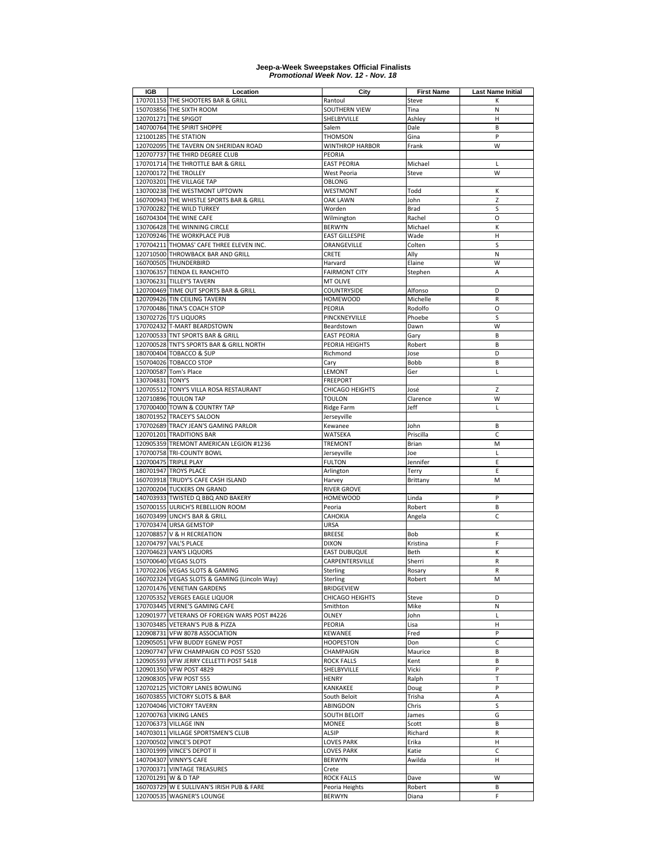| IGB                 | Location                                                         | City                        | <b>First Name</b> | <b>Last Name Initial</b> |
|---------------------|------------------------------------------------------------------|-----------------------------|-------------------|--------------------------|
|                     | 170701153 THE SHOOTERS BAR & GRILL                               | Rantoul                     | Steve             | к                        |
|                     | 150703856 THE SIXTH ROOM                                         | SOUTHERN VIEW               | Tina              | N                        |
|                     | 120701271 THE SPIGOT                                             | SHELBYVILLE                 | Ashley            | Н                        |
|                     | 140700764 THE SPIRIT SHOPPE                                      | Salem                       | Dale              | B                        |
|                     | 121001285 THE STATION                                            | <b>THOMSON</b>              | Gina              | P                        |
|                     | 120702095 THE TAVERN ON SHERIDAN ROAD                            | <b>WINTHROP HARBOR</b>      | Frank             | W                        |
|                     | 120707737 THE THIRD DEGREE CLUB                                  | PEORIA                      |                   |                          |
|                     | 170701714 THE THROTTLE BAR & GRILL                               | <b>EAST PEORIA</b>          | Michael           | L                        |
|                     | 120700172 THE TROLLEY                                            | West Peoria                 | Steve             | W                        |
|                     | 120703201 THE VILLAGE TAP                                        | <b>OBLONG</b>               |                   |                          |
|                     | 130700238 THE WESTMONT UPTOWN                                    | WESTMONT                    | Todd              | К                        |
|                     | 160700943 THE WHISTLE SPORTS BAR & GRILL                         | <b>OAK LAWN</b>             | John              | Z                        |
|                     | 170700282 THE WILD TURKEY                                        | Worden                      | <b>Brad</b>       | S                        |
|                     | 160704304 THE WINE CAFE                                          | Wilmington                  | Rachel            | O                        |
|                     | 130706428 THE WINNING CIRCLE                                     | <b>BERWYN</b>               | Michael           | K                        |
|                     | 120709246 THE WORKPLACE PUB                                      | <b>EAST GILLESPIE</b>       | Wade              | Η                        |
|                     | 170704211 THOMAS' CAFE THREE ELEVEN INC.                         | ORANGEVILLE                 | Colten            | S                        |
|                     | 120710500 THROWBACK BAR AND GRILL                                | CRETE                       | Ally              | N                        |
|                     | 160700505 THUNDERBIRD                                            | Harvard                     | Elaine            | W                        |
|                     | 130706357 TIENDA EL RANCHITO                                     | <b>FAIRMONT CITY</b>        | Stephen           | A                        |
|                     | 130706231 TILLEY'S TAVERN                                        | MT OLIVE                    |                   |                          |
|                     | 120700469 TIME OUT SPORTS BAR & GRILL                            | COUNTRYSIDE                 | Alfonso           | D                        |
|                     | 120709426 TIN CEILING TAVERN                                     | <b>HOMEWOOD</b>             | Michelle          | $\mathsf R$              |
|                     | 170700486 TINA'S COACH STOP                                      | PEORIA                      | Rodolfo           | O                        |
|                     | 130702726 TJ'S LIQUORS                                           | PINCKNEYVILLE               | Phoebe            | S                        |
|                     | 170702432 T-MART BEARDSTOWN                                      | Beardstown                  | Dawn              | W                        |
|                     | 120700533 TNT SPORTS BAR & GRILL                                 | <b>EAST PEORIA</b>          | Gary              | B                        |
|                     | 120700528 TNT'S SPORTS BAR & GRILL NORTH                         | PEORIA HEIGHTS              | Robert            | B                        |
|                     | 180700404 TOBACCO & \$UP                                         | Richmond                    | Jose              | D                        |
|                     | 150704026 TOBACCO STOP                                           | Cary                        | Bobb              | B                        |
|                     | 120700587 Tom's Place                                            | LEMONT                      | Ger               | L                        |
| 130704831 TONY'S    |                                                                  | <b>FREEPORT</b>             |                   |                          |
|                     | 120705512 TONY'S VILLA ROSA RESTAURANT                           | <b>CHICAGO HEIGHTS</b>      | José              | Z                        |
|                     | 120710896 TOULON TAP                                             | <b>TOULON</b>               | Clarence          | W                        |
|                     | 170700400 TOWN & COUNTRY TAP                                     | Ridge Farm                  | Jeff              | L                        |
|                     | 180701952 TRACEY'S SALOON                                        | Jerseyville                 |                   |                          |
|                     | 170702689 TRACY JEAN'S GAMING PARLOR                             | Kewanee                     | John              | B                        |
|                     | 120701201 TRADITIONS BAR                                         | WATSEKA                     | Priscilla         | C                        |
|                     | 120905359 TREMONT AMERICAN LEGION #1236                          | <b>TREMONT</b>              | Brian             | M                        |
|                     | 170700758 TRI-COUNTY BOWL                                        | Jerseyville                 | Joe               | L                        |
|                     | 120700475 TRIPLE PLAY                                            | <b>FULTON</b>               | Jennifer          | E                        |
|                     | 180701947 TROYS PLACE                                            | Arlington                   | Terry             | E                        |
|                     | 160703918 TRUDY'S CAFE CASH ISLAND                               | Harvey                      | Brittany          | M                        |
|                     | 120700204 TUCKERS ON GRAND                                       | <b>RIVER GROVE</b>          |                   |                          |
|                     | 140703933 TWISTED Q BBQ AND BAKERY                               | <b>HOMEWOOD</b>             | Linda             | P                        |
| 150700155           | ULRICH'S REBELLION ROOM                                          | Peoria                      | Robert            | B                        |
|                     | 160703499 UNCH'S BAR & GRILL                                     | CAHOKIA                     | Angela            | C                        |
|                     | 170703474 URSA GEMSTOP                                           | URSA                        |                   |                          |
|                     | 120708857 V & H RECREATION                                       | <b>BREESE</b>               | Bob               | К                        |
|                     | 120704797 VAL'S PLACE                                            | <b>DIXON</b>                | Kristina          | F                        |
|                     | 120704623 VAN'S LIQUORS                                          | <b>EAST DUBUQUE</b>         | Beth              | К                        |
|                     | 150700640 VEGAS SLOTS                                            | CARPENTERSVILLE             | Sherri            | R                        |
|                     | 170702206 VEGAS SLOTS & GAMING                                   | Sterling                    | Rosary            | R                        |
|                     | 160702324 VEGAS SLOTS & GAMING (Lincoln Way)                     | Sterling                    | Robert            | M                        |
|                     | 120701476 VENETIAN GARDENS                                       | <b>BRIDGEVIEW</b>           |                   |                          |
|                     | 120705352 VERGES EAGLE LIQUOR                                    | CHICAGO HEIGHTS<br>Smithton | Steve             | D                        |
|                     | 170703445 VERNE'S GAMING CAFE                                    |                             | Mike              | N                        |
|                     | 120901977 VETERANS OF FOREIGN WARS POST #4226                    | OLNEY                       | John              | L                        |
|                     | 130703485 VETERAN'S PUB & PIZZA                                  | PEORIA                      | Lisa              | н<br>P                   |
|                     | 120908731 VFW 8078 ASSOCIATION                                   | KEWANEE                     | Fred              |                          |
|                     | 120905051 VFW BUDDY EGNEW POST                                   | <b>HOOPESTON</b>            | Don               | C                        |
|                     | 120907747 VFW CHAMPAIGN CO POST 5520                             | CHAMPAIGN                   | Maurice           | B                        |
|                     | 120905593 VFW JERRY CELLETTI POST 5418                           | <b>ROCK FALLS</b>           | Kent              | B                        |
|                     | 120901350 VFW POST 4829<br>120908305 VFW POST 555                | SHELBYVILLE                 | Vicki             | P<br>T                   |
|                     |                                                                  | <b>HENRY</b>                | Ralph             |                          |
|                     | 120702125 VICTORY LANES BOWLING<br>160703855 VICTORY SLOTS & BAR | KANKAKEE                    | Doug              | P                        |
|                     |                                                                  | South Beloit                | Trisha            | Α                        |
|                     | 120704046 VICTORY TAVERN                                         | ABINGDON                    | Chris<br>James    | S                        |
|                     | 120700763 VIKING LANES                                           | SOUTH BELOIT                |                   | G                        |
|                     | 120706373 VILLAGE INN                                            | <b>MONEE</b>                | Scott             | В                        |
|                     | 140703011 VILLAGE SPORTSMEN'S CLUB                               | ALSIP                       | Richard           | R                        |
|                     | 120700502 VINCE'S DEPOT                                          | <b>LOVES PARK</b>           | Erika             | н                        |
|                     | 130701999 VINCE'S DEPOT II                                       | <b>LOVES PARK</b>           | Katie             | C                        |
|                     | 140704307 VINNY'S CAFE                                           | <b>BERWYN</b>               | Awilda            | н                        |
|                     | 170700371 VINTAGE TREASURES                                      | Crete                       |                   |                          |
| 120701291 W & D TAP |                                                                  | <b>ROCK FALLS</b>           | Dave              | W                        |
|                     | 160703729 W E SULLIVAN'S IRISH PUB & FARE                        | Peoria Heights              | Robert            | В                        |
|                     | 120700535 WAGNER'S LOUNGE                                        | <b>BERWYN</b>               | Diana             | F                        |